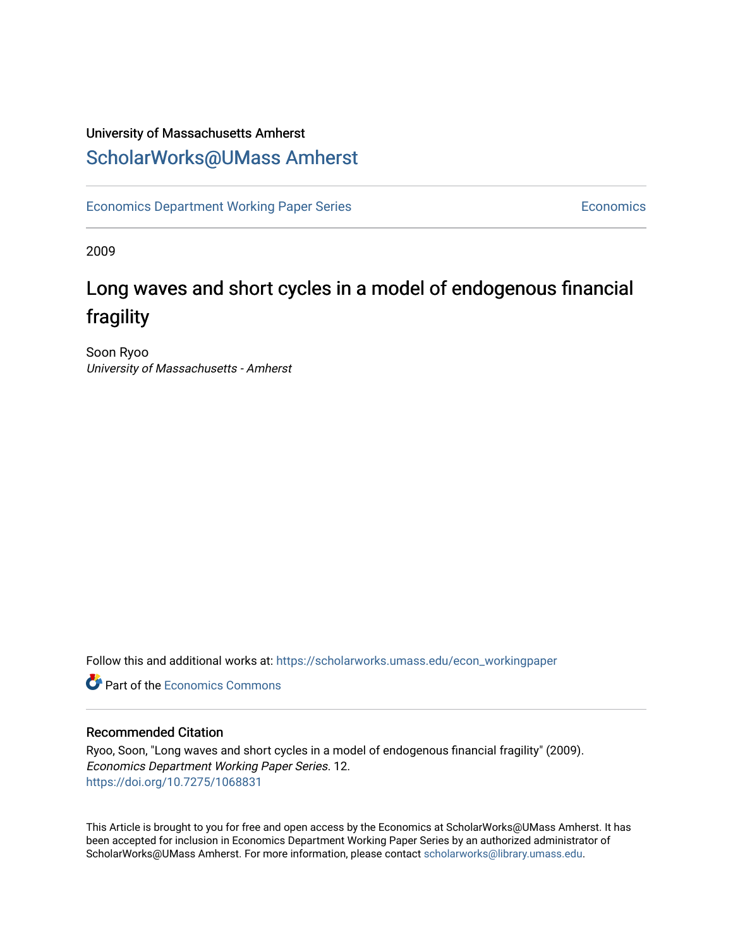### University of Massachusetts Amherst [ScholarWorks@UMass Amherst](https://scholarworks.umass.edu/)

[Economics Department Working Paper Series](https://scholarworks.umass.edu/econ_workingpaper) **Economics** Economics

2009

## Long waves and short cycles in a model of endogenous financial fragility

Soon Ryoo University of Massachusetts - Amherst

Follow this and additional works at: [https://scholarworks.umass.edu/econ\\_workingpaper](https://scholarworks.umass.edu/econ_workingpaper?utm_source=scholarworks.umass.edu%2Fecon_workingpaper%2F12&utm_medium=PDF&utm_campaign=PDFCoverPages) 

**C** Part of the [Economics Commons](http://network.bepress.com/hgg/discipline/340?utm_source=scholarworks.umass.edu%2Fecon_workingpaper%2F12&utm_medium=PDF&utm_campaign=PDFCoverPages)

#### Recommended Citation

Ryoo, Soon, "Long waves and short cycles in a model of endogenous financial fragility" (2009). Economics Department Working Paper Series. 12. <https://doi.org/10.7275/1068831>

This Article is brought to you for free and open access by the Economics at ScholarWorks@UMass Amherst. It has been accepted for inclusion in Economics Department Working Paper Series by an authorized administrator of ScholarWorks@UMass Amherst. For more information, please contact [scholarworks@library.umass.edu.](mailto:scholarworks@library.umass.edu)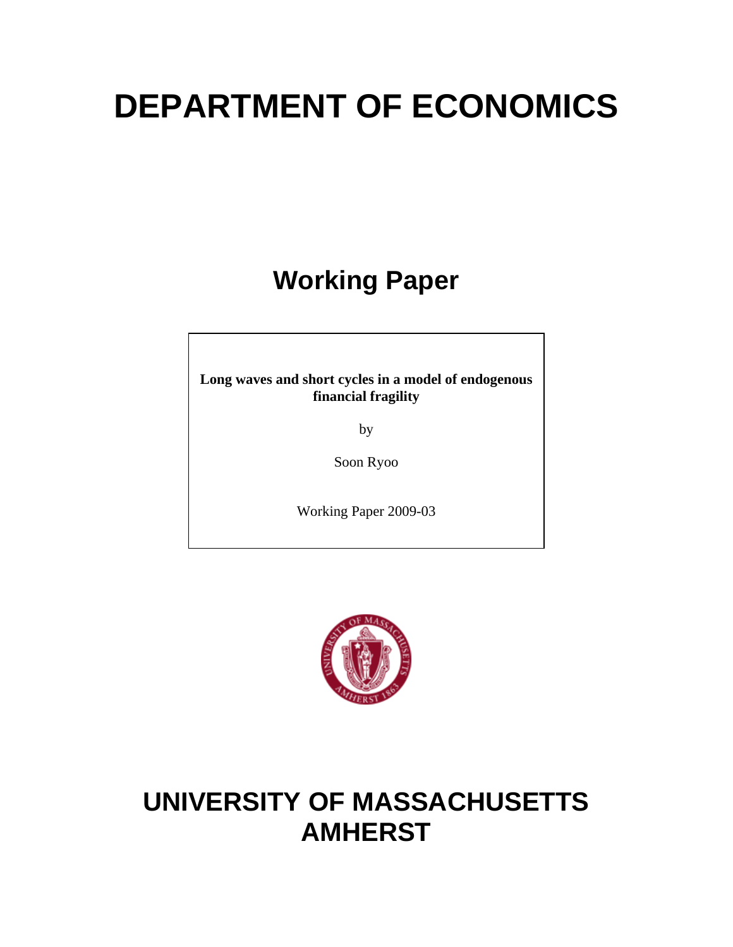# **DEPARTMENT OF ECONOMICS**

# **Working Paper**

**Long waves and short cycles in a model of endogenous financial fragility** 

by

Soon Ryoo

Working Paper 2009-03



# **UNIVERSITY OF MASSACHUSETTS AMHERST**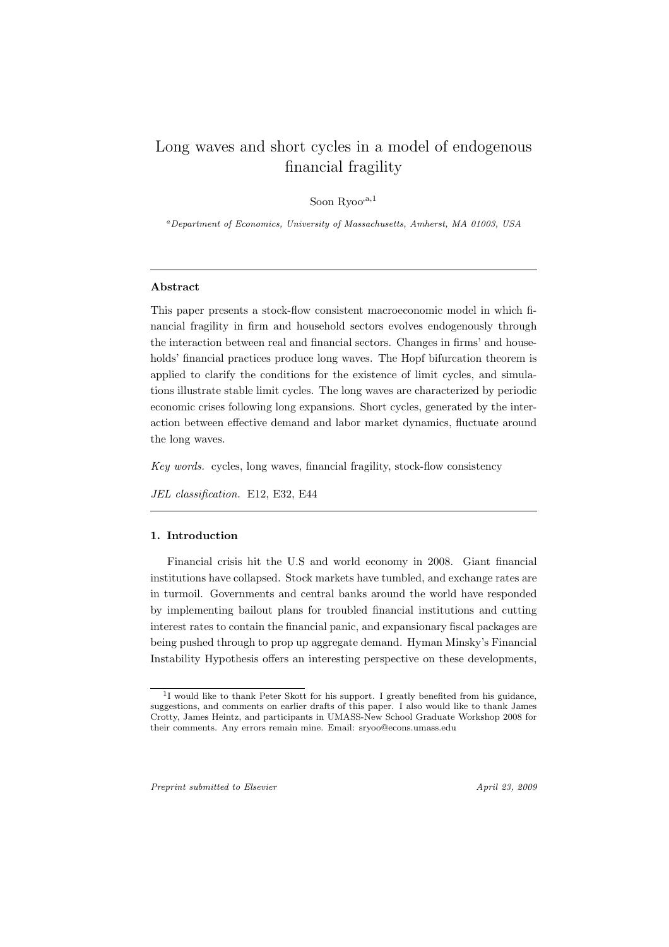### Long waves and short cycles in a model of endogenous financial fragility

Soon Ryoo $a,1$ 

*<sup>a</sup>Department of Economics, University of Massachusetts, Amherst, MA 01003, USA*

#### **Abstract**

This paper presents a stock-flow consistent macroeconomic model in which financial fragility in firm and household sectors evolves endogenously through the interaction between real and financial sectors. Changes in firms' and households' financial practices produce long waves. The Hopf bifurcation theorem is applied to clarify the conditions for the existence of limit cycles, and simulations illustrate stable limit cycles. The long waves are characterized by periodic economic crises following long expansions. Short cycles, generated by the interaction between effective demand and labor market dynamics, fluctuate around the long waves.

*Key words.* cycles, long waves, financial fragility, stock-flow consistency

*JEL classification.* E12, E32, E44

#### **1. Introduction**

Financial crisis hit the U.S and world economy in 2008. Giant financial institutions have collapsed. Stock markets have tumbled, and exchange rates are in turmoil. Governments and central banks around the world have responded by implementing bailout plans for troubled financial institutions and cutting interest rates to contain the financial panic, and expansionary fiscal packages are being pushed through to prop up aggregate demand. Hyman Minsky's Financial Instability Hypothesis offers an interesting perspective on these developments,

*Preprint submitted to Elsevier April 23, 2009*

<sup>&</sup>lt;sup>1</sup>I would like to thank Peter Skott for his support. I greatly benefited from his guidance, suggestions, and comments on earlier drafts of this paper. I also would like to thank James Crotty, James Heintz, and participants in UMASS-New School Graduate Workshop 2008 for their comments. Any errors remain mine. Email: sryoo@econs.umass.edu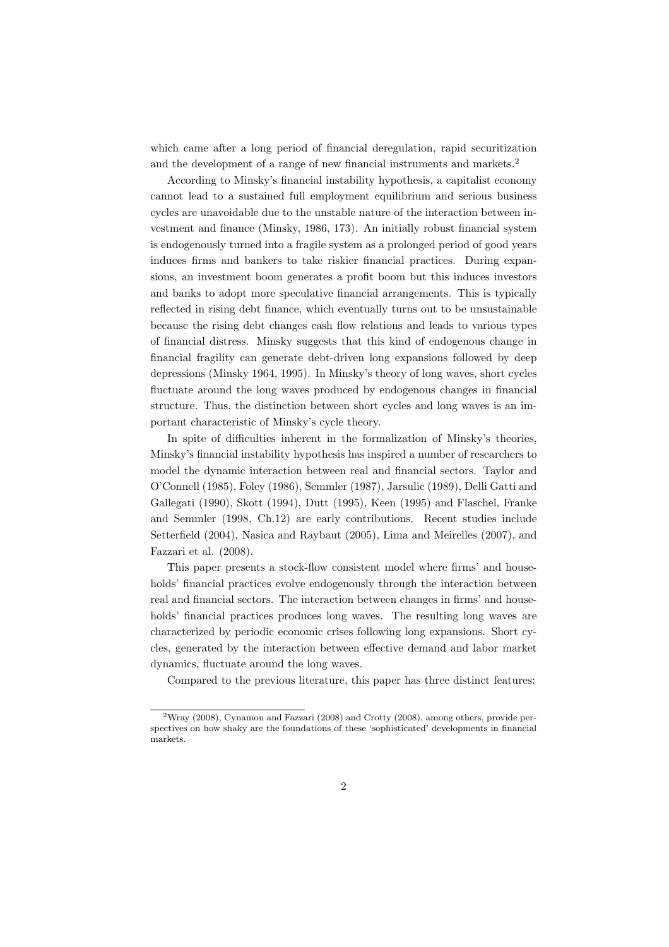which came after a long period of financial deregulation, rapid securitization and the development of a range of new financial instruments and markets.<sup>2</sup>

According to Minsky's financial instability hypothesis, a capitalist economy cannot lead to a sustained full employment equilibrium and serious business cycles are unavoidable due to the unstable nature of the interaction between investment and finance (Minsky, 1986, 173). An initially robust financial system is endogenously turned into a fragile system as a prolonged period of good years induces firms and bankers to take riskier financial practices. During expansions, an investment boom generates a profit boom but this induces investors and banks to adopt more speculative financial arrangements. This is typically reflected in rising debt finance, which eventually turns out to be unsustainable because the rising debt changes cash flow relations and leads to various types of financial distress. Minsky suggests that this kind of endogenous change in financial fragility can generate debt-driven long expansions followed by deep depressions (Minsky 1964, 1995). In Minsky's theory of long waves, short cycles fluctuate around the long waves produced by endogenous changes in financial structure. Thus, the distinction between short cycles and long waves is an important characteristic of Minsky's cycle theory.

In spite of difficulties inherent in the formalization of Minsky's theories, Minsky's financial instability hypothesis has inspired a number of researchers to model the dynamic interaction between real and financial sectors. Taylor and O'Connell (1985), Foley (1986), Semmler (1987), Jarsulic (1989), Delli Gatti and Gallegati (1990), Skott (1994), Dutt (1995), Keen (1995) and Flaschel, Franke and Semmler (1998, Ch.12) are early contributions. Recent studies include Setterfield (2004), Nasica and Raybaut (2005), Lima and Meirelles (2007), and Fazzari et al. (2008).

This paper presents a stock-flow consistent model where firms' and households' financial practices evolve endogenously through the interaction between real and financial sectors. The interaction between changes in firms' and households' financial practices produces long waves. The resulting long waves are characterized by periodic economic crises following long expansions. Short cycles, generated by the interaction between effective demand and labor market dynamics, fluctuate around the long waves.

Compared to the previous literature, this paper has three distinct features:

<sup>2</sup>Wray (2008), Cynamon and Fazzari (2008) and Crotty (2008), among others, provide perspectives on how shaky are the foundations of these 'sophisticated' developments in financial markets.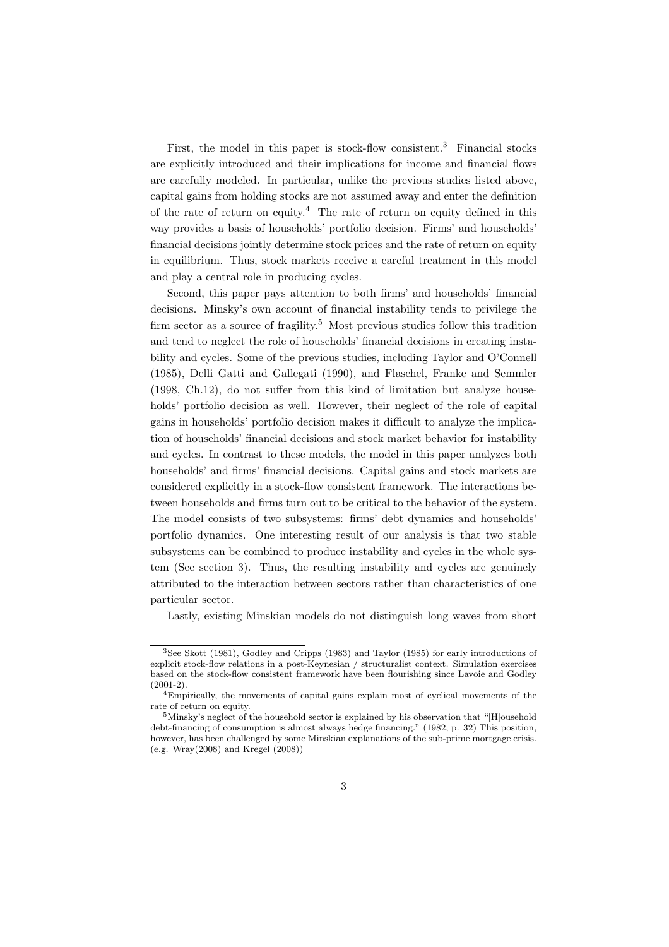First, the model in this paper is stock-flow consistent.<sup>3</sup> Financial stocks are explicitly introduced and their implications for income and financial flows are carefully modeled. In particular, unlike the previous studies listed above, capital gains from holding stocks are not assumed away and enter the definition of the rate of return on equity.<sup>4</sup> The rate of return on equity defined in this way provides a basis of households' portfolio decision. Firms' and households' financial decisions jointly determine stock prices and the rate of return on equity in equilibrium. Thus, stock markets receive a careful treatment in this model and play a central role in producing cycles.

Second, this paper pays attention to both firms' and households' financial decisions. Minsky's own account of financial instability tends to privilege the firm sector as a source of fragility.<sup>5</sup> Most previous studies follow this tradition and tend to neglect the role of households' financial decisions in creating instability and cycles. Some of the previous studies, including Taylor and O'Connell (1985), Delli Gatti and Gallegati (1990), and Flaschel, Franke and Semmler (1998, Ch.12), do not suffer from this kind of limitation but analyze households' portfolio decision as well. However, their neglect of the role of capital gains in households' portfolio decision makes it difficult to analyze the implication of households' financial decisions and stock market behavior for instability and cycles. In contrast to these models, the model in this paper analyzes both households' and firms' financial decisions. Capital gains and stock markets are considered explicitly in a stock-flow consistent framework. The interactions between households and firms turn out to be critical to the behavior of the system. The model consists of two subsystems: firms' debt dynamics and households' portfolio dynamics. One interesting result of our analysis is that two stable subsystems can be combined to produce instability and cycles in the whole system (See section 3). Thus, the resulting instability and cycles are genuinely attributed to the interaction between sectors rather than characteristics of one particular sector.

Lastly, existing Minskian models do not distinguish long waves from short

<sup>3</sup>See Skott (1981), Godley and Cripps (1983) and Taylor (1985) for early introductions of explicit stock-flow relations in a post-Keynesian / structuralist context. Simulation exercises based on the stock-flow consistent framework have been flourishing since Lavoie and Godley  $(2001-2)$ .

<sup>4</sup>Empirically, the movements of capital gains explain most of cyclical movements of the rate of return on equity.

<sup>5</sup>Minsky's neglect of the household sector is explained by his observation that "[H]ousehold debt-financing of consumption is almost always hedge financing." (1982, p. 32) This position, however, has been challenged by some Minskian explanations of the sub-prime mortgage crisis. (e.g. Wray(2008) and Kregel (2008))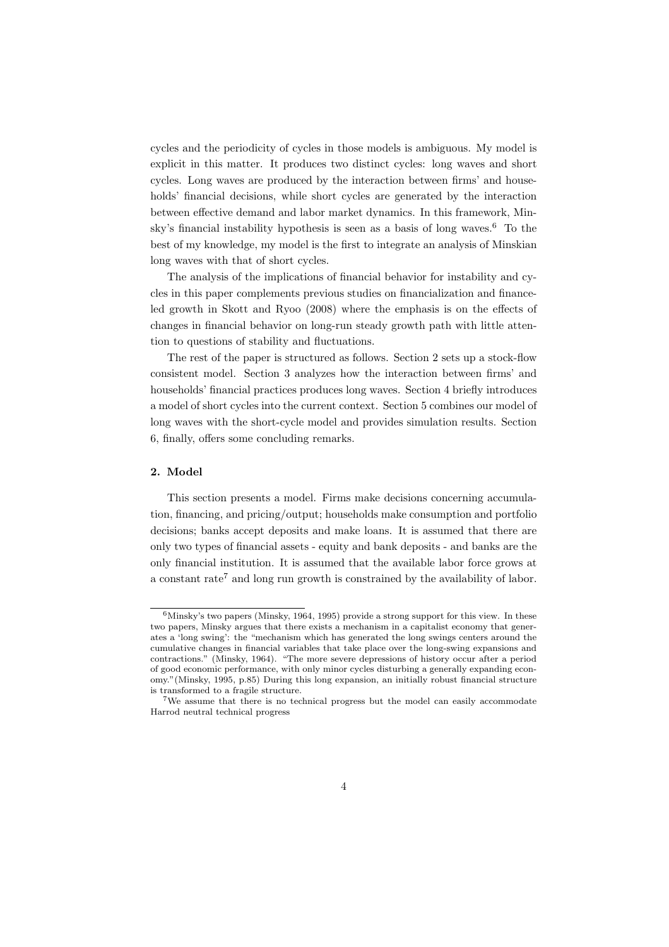cycles and the periodicity of cycles in those models is ambiguous. My model is explicit in this matter. It produces two distinct cycles: long waves and short cycles. Long waves are produced by the interaction between firms' and households' financial decisions, while short cycles are generated by the interaction between effective demand and labor market dynamics. In this framework, Minsky's financial instability hypothesis is seen as a basis of long waves.<sup>6</sup> To the best of my knowledge, my model is the first to integrate an analysis of Minskian long waves with that of short cycles.

The analysis of the implications of financial behavior for instability and cycles in this paper complements previous studies on financialization and financeled growth in Skott and Ryoo (2008) where the emphasis is on the effects of changes in financial behavior on long-run steady growth path with little attention to questions of stability and fluctuations.

The rest of the paper is structured as follows. Section 2 sets up a stock-flow consistent model. Section 3 analyzes how the interaction between firms' and households' financial practices produces long waves. Section 4 briefly introduces a model of short cycles into the current context. Section 5 combines our model of long waves with the short-cycle model and provides simulation results. Section 6, finally, offers some concluding remarks.

#### **2. Model**

This section presents a model. Firms make decisions concerning accumulation, financing, and pricing/output; households make consumption and portfolio decisions; banks accept deposits and make loans. It is assumed that there are only two types of financial assets - equity and bank deposits - and banks are the only financial institution. It is assumed that the available labor force grows at a constant rate<sup>7</sup> and long run growth is constrained by the availability of labor.

 $6$ Minsky's two papers (Minsky, 1964, 1995) provide a strong support for this view. In these two papers, Minsky argues that there exists a mechanism in a capitalist economy that generates a 'long swing': the "mechanism which has generated the long swings centers around the cumulative changes in financial variables that take place over the long-swing expansions and contractions." (Minsky, 1964). "The more severe depressions of history occur after a period of good economic performance, with only minor cycles disturbing a generally expanding economy."(Minsky, 1995, p.85) During this long expansion, an initially robust financial structure is transformed to a fragile structure.

<sup>7</sup>We assume that there is no technical progress but the model can easily accommodate Harrod neutral technical progress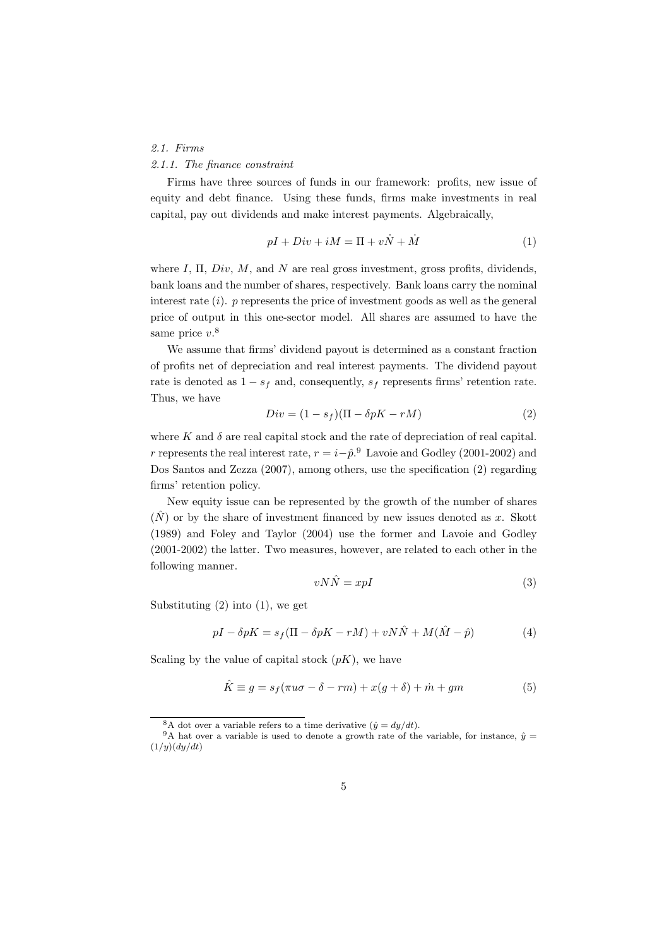#### *2.1. Firms*

#### *2.1.1. The finance constraint*

Firms have three sources of funds in our framework: profits, new issue of equity and debt finance. Using these funds, firms make investments in real capital, pay out dividends and make interest payments. Algebraically,

$$
pI + Div + iM = \Pi + v\dot{N} + \dot{M}
$$
\n<sup>(1)</sup>

where *I*, Π, *Div*, *M*, and *N* are real gross investment, gross profits, dividends, bank loans and the number of shares, respectively. Bank loans carry the nominal interest rate (*i*). *p* represents the price of investment goods as well as the general price of output in this one-sector model. All shares are assumed to have the same price *v*. 8

We assume that firms' dividend payout is determined as a constant fraction of profits net of depreciation and real interest payments. The dividend payout rate is denoted as  $1 - s_f$  and, consequently,  $s_f$  represents firms' retention rate. Thus, we have

$$
Div = (1 - s_f)(\Pi - \delta pK - rM) \tag{2}
$$

where  $K$  and  $\delta$  are real capital stock and the rate of depreciation of real capital. *r* represents the real interest rate,  $r = i - \hat{p}$ .<sup>9</sup> Lavoie and Godley (2001-2002) and Dos Santos and Zezza (2007), among others, use the specification (2) regarding firms' retention policy.

New equity issue can be represented by the growth of the number of shares  $(N)$  or by the share of investment financed by new issues denoted as x. Skott (1989) and Foley and Taylor (2004) use the former and Lavoie and Godley (2001-2002) the latter. Two measures, however, are related to each other in the following manner.

$$
vN\hat{N} = xpI \tag{3}
$$

Substituting  $(2)$  into  $(1)$ , we get

$$
pI - \delta pK = s_f(\Pi - \delta pK - rM) + vN\hat{N} + M(\hat{M} - \hat{p})
$$
\n(4)

Scaling by the value of capital stock  $(pK)$ , we have

$$
\hat{K} \equiv g = s_f(\pi u \sigma - \delta - rm) + x(g + \delta) + \dot{m} + gm \tag{5}
$$

<sup>&</sup>lt;sup>8</sup>A dot over a variable refers to a time derivative  $(\dot{y} = dy/dt)$ .

<sup>&</sup>lt;sup>9</sup>A hat over a variable is used to denote a growth rate of the variable, for instance,  $\hat{v}$  = (1*/y*)(*dy/dt*)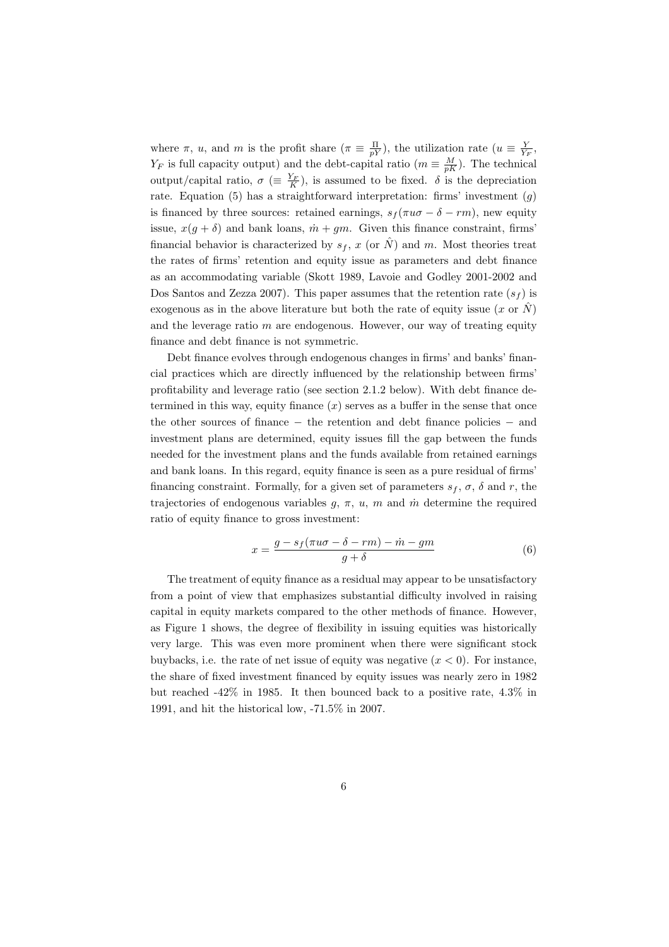where  $\pi$ , *u*, and *m* is the profit share  $(\pi \equiv \frac{\Pi}{pY})$ , the utilization rate  $(u \equiv \frac{Y}{Y_F})$ , *Y<sub>F</sub>* is full capacity output) and the debt-capital ratio ( $m \equiv \frac{M}{pK}$ ). The technical output/capital ratio,  $\sigma$  ( $\equiv \frac{Y_F}{K}$ ), is assumed to be fixed.  $\delta$  is the depreciation rate. Equation (5) has a straightforward interpretation: firms' investment (*g*) is financed by three sources: retained earnings,  $s_f(\pi u\sigma - \delta - rm)$ , new equity issue,  $x(q + \delta)$  and bank loans,  $\dot{m} + qm$ . Given this finance constraint, firms' financial behavior is characterized by  $s_f$ , *x* (or  $\hat{N}$ ) and *m*. Most theories treat the rates of firms' retention and equity issue as parameters and debt finance as an accommodating variable (Skott 1989, Lavoie and Godley 2001-2002 and Dos Santos and Zezza 2007). This paper assumes that the retention rate  $(s_f)$  is exogenous as in the above literature but both the rate of equity issue  $(x \text{ or } N)$ and the leverage ratio *m* are endogenous. However, our way of treating equity finance and debt finance is not symmetric.

Debt finance evolves through endogenous changes in firms' and banks' financial practices which are directly influenced by the relationship between firms' profitability and leverage ratio (see section 2.1.2 below). With debt finance determined in this way, equity finance  $(x)$  serves as a buffer in the sense that once the other sources of finance *−* the retention and debt finance policies *−* and investment plans are determined, equity issues fill the gap between the funds needed for the investment plans and the funds available from retained earnings and bank loans. In this regard, equity finance is seen as a pure residual of firms' financing constraint. Formally, for a given set of parameters  $s_f$ ,  $\sigma$ ,  $\delta$  and  $r$ , the trajectories of endogenous variables  $g, \pi, u, m$  and  $\dot{m}$  determine the required ratio of equity finance to gross investment:

$$
x = \frac{g - s_f(\pi u \sigma - \delta - rm) - \dot{m} - gm}{g + \delta} \tag{6}
$$

The treatment of equity finance as a residual may appear to be unsatisfactory from a point of view that emphasizes substantial difficulty involved in raising capital in equity markets compared to the other methods of finance. However, as Figure 1 shows, the degree of flexibility in issuing equities was historically very large. This was even more prominent when there were significant stock buybacks, i.e. the rate of net issue of equity was negative (*x <* 0). For instance, the share of fixed investment financed by equity issues was nearly zero in 1982 but reached -42% in 1985. It then bounced back to a positive rate, 4.3% in 1991, and hit the historical low, -71.5% in 2007.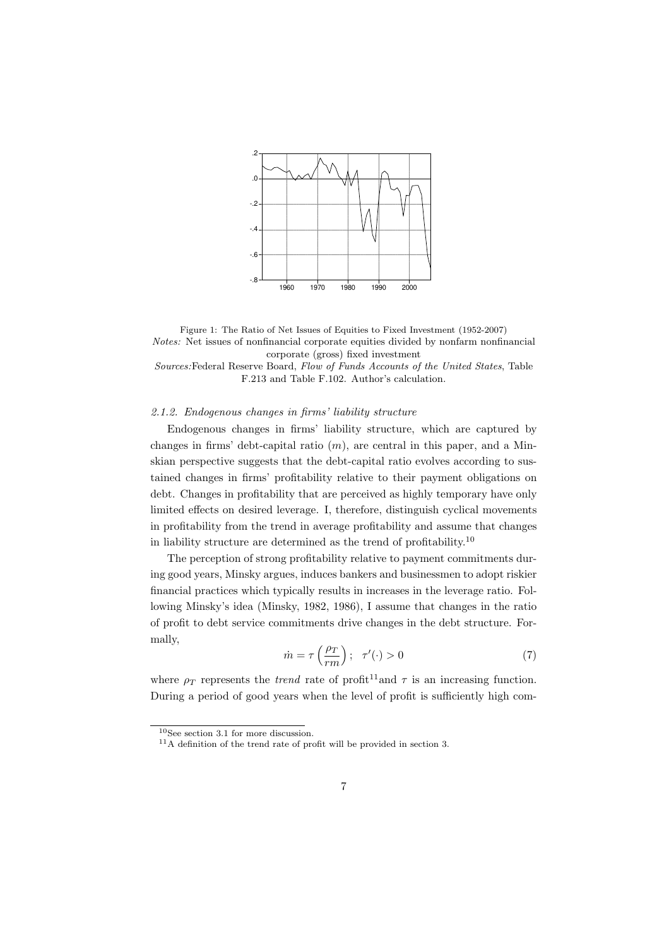

Figure 1: The Ratio of Net Issues of Equities to Fixed Investment (1952-2007) *Notes:* Net issues of nonfinancial corporate equities divided by nonfarm nonfinancial corporate (gross) fixed investment *Sources:*Federal Reserve Board, *Flow of Funds Accounts of the United States*, Table

F.213 and Table F.102. Author's calculation.

#### *2.1.2. Endogenous changes in firms' liability structure*

Endogenous changes in firms' liability structure, which are captured by changes in firms' debt-capital ratio (*m*), are central in this paper, and a Minskian perspective suggests that the debt-capital ratio evolves according to sustained changes in firms' profitability relative to their payment obligations on debt. Changes in profitability that are perceived as highly temporary have only limited effects on desired leverage. I, therefore, distinguish cyclical movements in profitability from the trend in average profitability and assume that changes in liability structure are determined as the trend of profitability.<sup>10</sup>

The perception of strong profitability relative to payment commitments during good years, Minsky argues, induces bankers and businessmen to adopt riskier financial practices which typically results in increases in the leverage ratio. Following Minsky's idea (Minsky, 1982, 1986), I assume that changes in the ratio of profit to debt service commitments drive changes in the debt structure. Formally,

$$
\dot{m} = \tau \left(\frac{\rho_T}{rm}\right); \quad \tau'(\cdot) > 0 \tag{7}
$$

where  $\rho_T$  represents the *trend* rate of profit<sup>11</sup> and  $\tau$  is an increasing function. During a period of good years when the level of profit is sufficiently high com-

<sup>10</sup>See section 3.1 for more discussion.

 $11A$  definition of the trend rate of profit will be provided in section 3.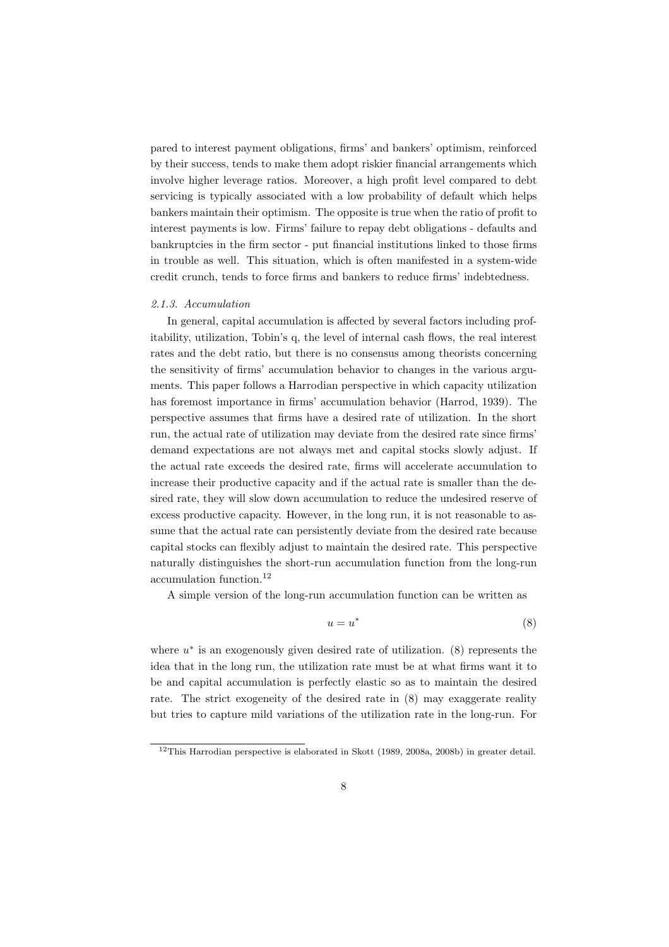pared to interest payment obligations, firms' and bankers' optimism, reinforced by their success, tends to make them adopt riskier financial arrangements which involve higher leverage ratios. Moreover, a high profit level compared to debt servicing is typically associated with a low probability of default which helps bankers maintain their optimism. The opposite is true when the ratio of profit to interest payments is low. Firms' failure to repay debt obligations - defaults and bankruptcies in the firm sector - put financial institutions linked to those firms in trouble as well. This situation, which is often manifested in a system-wide credit crunch, tends to force firms and bankers to reduce firms' indebtedness.

#### *2.1.3. Accumulation*

In general, capital accumulation is affected by several factors including profitability, utilization, Tobin's q, the level of internal cash flows, the real interest rates and the debt ratio, but there is no consensus among theorists concerning the sensitivity of firms' accumulation behavior to changes in the various arguments. This paper follows a Harrodian perspective in which capacity utilization has foremost importance in firms' accumulation behavior (Harrod, 1939). The perspective assumes that firms have a desired rate of utilization. In the short run, the actual rate of utilization may deviate from the desired rate since firms' demand expectations are not always met and capital stocks slowly adjust. If the actual rate exceeds the desired rate, firms will accelerate accumulation to increase their productive capacity and if the actual rate is smaller than the desired rate, they will slow down accumulation to reduce the undesired reserve of excess productive capacity. However, in the long run, it is not reasonable to assume that the actual rate can persistently deviate from the desired rate because capital stocks can flexibly adjust to maintain the desired rate. This perspective naturally distinguishes the short-run accumulation function from the long-run accumulation function.<sup>12</sup>

A simple version of the long-run accumulation function can be written as

$$
u = u^* \tag{8}
$$

where  $u^*$  is an exogenously given desired rate of utilization. (8) represents the idea that in the long run, the utilization rate must be at what firms want it to be and capital accumulation is perfectly elastic so as to maintain the desired rate. The strict exogeneity of the desired rate in (8) may exaggerate reality but tries to capture mild variations of the utilization rate in the long-run. For

<sup>12</sup>This Harrodian perspective is elaborated in Skott (1989, 2008a, 2008b) in greater detail.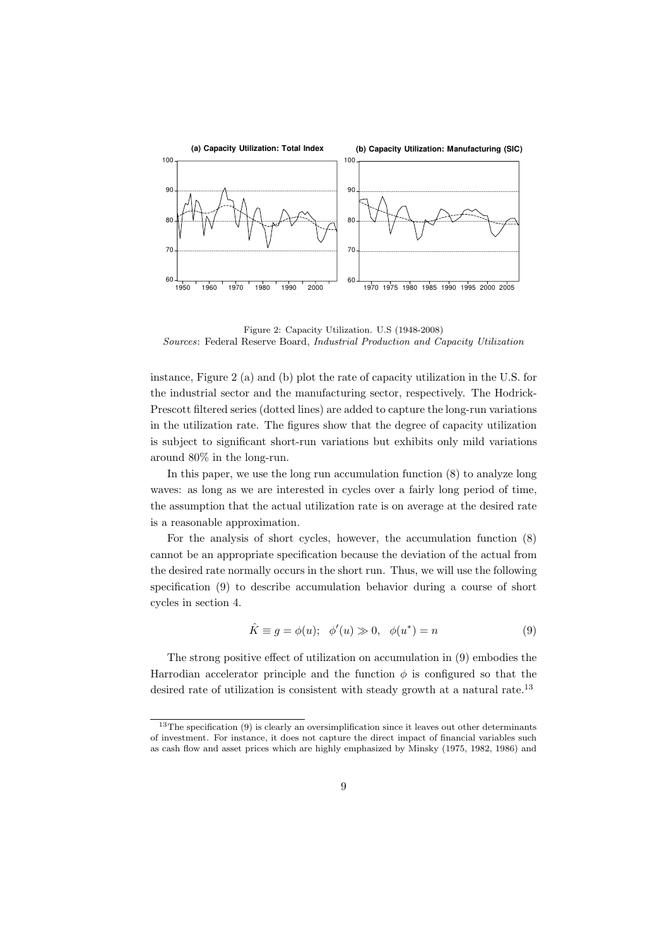

Figure 2: Capacity Utilization. U.S (1948-2008) *Sources*: Federal Reserve Board, *Industrial Production and Capacity Utilization*

instance, Figure 2 (a) and (b) plot the rate of capacity utilization in the U.S. for the industrial sector and the manufacturing sector, respectively. The Hodrick-Prescott filtered series (dotted lines) are added to capture the long-run variations in the utilization rate. The figures show that the degree of capacity utilization is subject to significant short-run variations but exhibits only mild variations around 80% in the long-run.

In this paper, we use the long run accumulation function (8) to analyze long waves: as long as we are interested in cycles over a fairly long period of time, the assumption that the actual utilization rate is on average at the desired rate is a reasonable approximation.

For the analysis of short cycles, however, the accumulation function (8) cannot be an appropriate specification because the deviation of the actual from the desired rate normally occurs in the short run. Thus, we will use the following specification (9) to describe accumulation behavior during a course of short cycles in section 4.

$$
\hat{K} \equiv g = \phi(u); \quad \phi'(u) \gg 0, \quad \phi(u^*) = n \tag{9}
$$

The strong positive effect of utilization on accumulation in (9) embodies the Harrodian accelerator principle and the function  $\phi$  is configured so that the desired rate of utilization is consistent with steady growth at a natural rate.<sup>13</sup>

 $13$ The specification (9) is clearly an oversimplification since it leaves out other determinants of investment. For instance, it does not capture the direct impact of financial variables such as cash flow and asset prices which are highly emphasized by Minsky (1975, 1982, 1986) and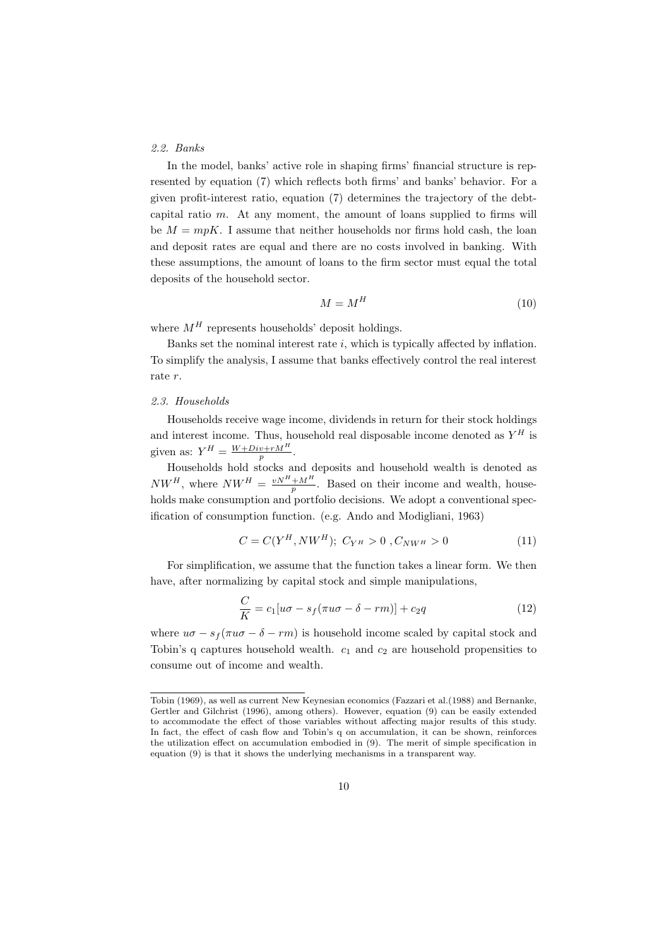#### *2.2. Banks*

In the model, banks' active role in shaping firms' financial structure is represented by equation (7) which reflects both firms' and banks' behavior. For a given profit-interest ratio, equation (7) determines the trajectory of the debtcapital ratio *m*. At any moment, the amount of loans supplied to firms will be  $M = mpK$ . I assume that neither households nor firms hold cash, the loan and deposit rates are equal and there are no costs involved in banking. With these assumptions, the amount of loans to the firm sector must equal the total deposits of the household sector.

$$
M = M^H \tag{10}
$$

where  $M^H$  represents households' deposit holdings.

Banks set the nominal interest rate *i*, which is typically affected by inflation. To simplify the analysis, I assume that banks effectively control the real interest rate *r*.

#### *2.3. Households*

Households receive wage income, dividends in return for their stock holdings and interest income. Thus, household real disposable income denoted as  $Y^H$  is given as:  $Y^H = \frac{W + Div + rM^H}{r}$ . *p*

Households hold stocks and deposits and household wealth is denoted as  $NW^H$ , where  $NW^H = \frac{vN^H + M^H}{p}$ . Based on their income and wealth, households make consumption and portfolio decisions. We adopt a conventional specification of consumption function. (e.g. Ando and Modigliani, 1963)

$$
C = C(Y^H, NW^H); \ C_{Y^H} > 0, C_{NW^H} > 0 \tag{11}
$$

For simplification, we assume that the function takes a linear form. We then have, after normalizing by capital stock and simple manipulations,

$$
\frac{C}{K} = c_1[u\sigma - s_f(\pi u\sigma - \delta - rm)] + c_2q \tag{12}
$$

where  $u\sigma - s_f(\pi u\sigma - \delta - rm)$  is household income scaled by capital stock and Tobin's q captures household wealth.  $c_1$  and  $c_2$  are household propensities to consume out of income and wealth.

Tobin (1969), as well as current New Keynesian economics (Fazzari et al.(1988) and Bernanke, Gertler and Gilchrist (1996), among others). However, equation (9) can be easily extended to accommodate the effect of those variables without affecting major results of this study. In fact, the effect of cash flow and Tobin's q on accumulation, it can be shown, reinforces the utilization effect on accumulation embodied in (9). The merit of simple specification in equation (9) is that it shows the underlying mechanisms in a transparent way.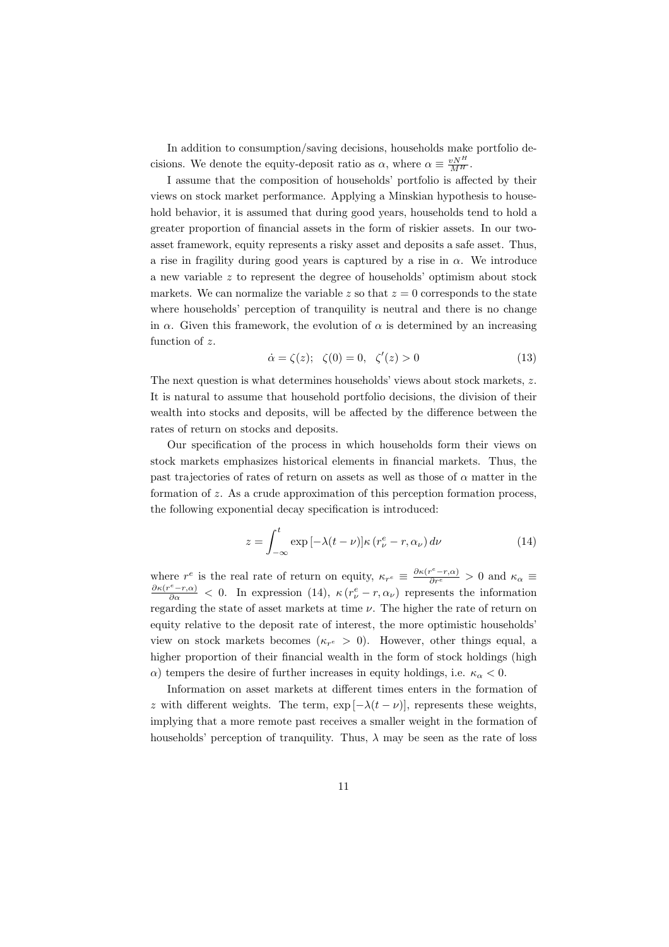In addition to consumption/saving decisions, households make portfolio decisions. We denote the equity-deposit ratio as  $\alpha$ , where  $\alpha \equiv \frac{vN^H}{M^H}$ .

I assume that the composition of households' portfolio is affected by their views on stock market performance. Applying a Minskian hypothesis to household behavior, it is assumed that during good years, households tend to hold a greater proportion of financial assets in the form of riskier assets. In our twoasset framework, equity represents a risky asset and deposits a safe asset. Thus, a rise in fragility during good years is captured by a rise in  $\alpha$ . We introduce a new variable *z* to represent the degree of households' optimism about stock markets. We can normalize the variable  $z$  so that  $z = 0$  corresponds to the state where households' perception of tranquility is neutral and there is no change in  $\alpha$ . Given this framework, the evolution of  $\alpha$  is determined by an increasing function of *z*.

$$
\dot{\alpha} = \zeta(z); \quad \zeta(0) = 0, \quad \zeta'(z) > 0 \tag{13}
$$

The next question is what determines households' views about stock markets, *z*. It is natural to assume that household portfolio decisions, the division of their wealth into stocks and deposits, will be affected by the difference between the rates of return on stocks and deposits.

Our specification of the process in which households form their views on stock markets emphasizes historical elements in financial markets. Thus, the past trajectories of rates of return on assets as well as those of  $\alpha$  matter in the formation of *z*. As a crude approximation of this perception formation process, the following exponential decay specification is introduced:

$$
z = \int_{-\infty}^{t} \exp\left[-\lambda(t-\nu)\right] \kappa \left(r_{\nu}^{e} - r, \alpha_{\nu}\right) d\nu \tag{14}
$$

where  $r^e$  is the real rate of return on equity,  $\kappa_{r^e} \equiv \frac{\partial \kappa(r^e - r, \alpha)}{\partial r^e} > 0$  and  $\kappa_\alpha \equiv$  $\frac{\partial \kappa(r^e-r,\alpha)}{\partial \alpha}$  < 0. In expression (14),  $\kappa(r^e_\nu-r,\alpha_\nu)$  represents the information regarding the state of asset markets at time  $\nu$ . The higher the rate of return on equity relative to the deposit rate of interest, the more optimistic households' view on stock markets becomes  $(\kappa_{r^e} > 0)$ . However, other things equal, a higher proportion of their financial wealth in the form of stock holdings (high *α*) tempers the desire of further increases in equity holdings, i.e.  $κ<sub>α</sub> < 0$ .

Information on asset markets at different times enters in the formation of *z* with different weights. The term,  $\exp[-\lambda(t-\nu)]$ , represents these weights, implying that a more remote past receives a smaller weight in the formation of households' perception of tranquility. Thus,  $\lambda$  may be seen as the rate of loss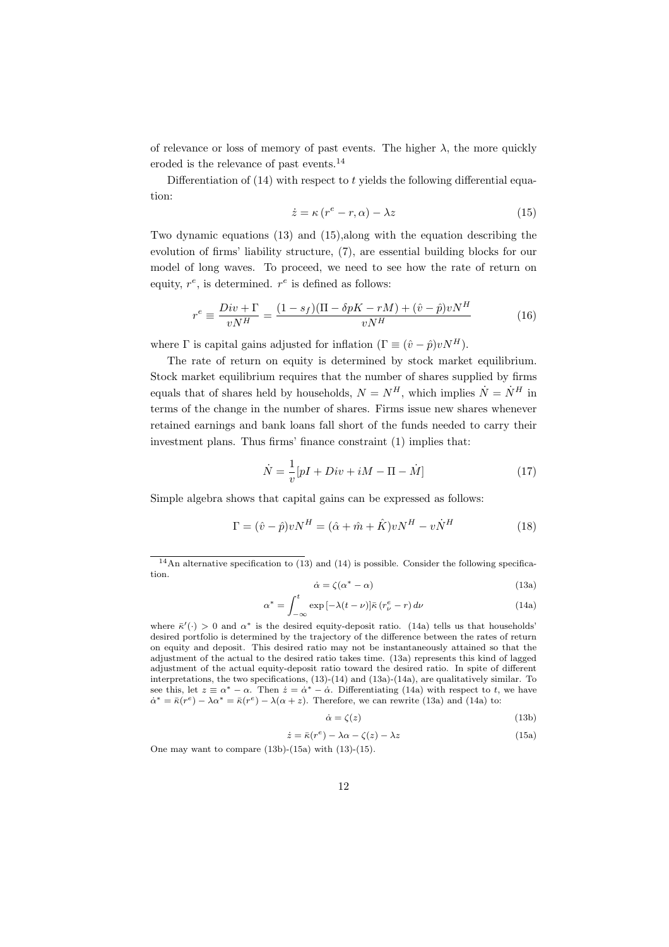of relevance or loss of memory of past events. The higher  $\lambda$ , the more quickly eroded is the relevance of past events.<sup>14</sup>

Differentiation of (14) with respect to *t* yields the following differential equation:

$$
\dot{z} = \kappa \left( r^e - r, \alpha \right) - \lambda z \tag{15}
$$

Two dynamic equations (13) and (15),along with the equation describing the evolution of firms' liability structure, (7), are essential building blocks for our model of long waves. To proceed, we need to see how the rate of return on equity,  $r^e$ , is determined.  $r^e$  is defined as follows:

$$
r^{e} \equiv \frac{Div + \Gamma}{vN^{H}} = \frac{(1 - s_f)(\Pi - \delta pK - rM) + (\hat{v} - \hat{p})vN^{H}}{vN^{H}}
$$
(16)

where  $\Gamma$  is capital gains adjusted for inflation  $(\Gamma \equiv (\hat{v} - \hat{p})vN^H)$ .

The rate of return on equity is determined by stock market equilibrium. Stock market equilibrium requires that the number of shares supplied by firms equals that of shares held by households,  $N = N^H$ , which implies  $\dot{N} = \dot{N}^H$  in terms of the change in the number of shares. Firms issue new shares whenever retained earnings and bank loans fall short of the funds needed to carry their investment plans. Thus firms' finance constraint (1) implies that:

$$
\dot{N} = \frac{1}{v}[pI + Div + iM - \Pi - \dot{M}]
$$
\n(17)

Simple algebra shows that capital gains can be expressed as follows:

$$
\Gamma = (\hat{v} - \hat{p})vN^H = (\hat{\alpha} + \hat{m} + \hat{K})vN^H - v\dot{N}^H
$$
\n(18)

$$
\dot{\alpha} = \zeta(\alpha^* - \alpha) \tag{13a}
$$

$$
\alpha^* = \int_{-\infty}^t \exp\left[-\lambda(t-\nu)\right] \bar{\kappa} \left(r^e_\nu - r\right) d\nu \tag{14a}
$$

where  $\bar{\kappa}'$  (*·*) > 0 and  $\alpha^*$  is the desired equity-deposit ratio. (14a) tells us that households' desired portfolio is determined by the trajectory of the difference between the rates of return on equity and deposit. This desired ratio may not be instantaneously attained so that the adjustment of the actual to the desired ratio takes time. (13a) represents this kind of lagged adjustment of the actual equity-deposit ratio toward the desired ratio. In spite of different interpretations, the two specifications, (13)-(14) and (13a)-(14a), are qualitatively similar. To see this, let  $z \equiv \alpha^* - \alpha$ . Then  $\dot{z} = \dot{\alpha}^* - \dot{\alpha}$ . Differentiating (14a) with respect to t, we have  $\dot{\alpha}^* = \bar{\kappa}(r^e) - \lambda \alpha^* = \bar{\kappa}(r^e) - \lambda(\alpha + z)$ . Therefore, we can rewrite (13a) and (14a) to:

$$
\dot{\alpha} = \zeta(z) \tag{13b}
$$

$$
\dot{z} = \bar{\kappa}(r^e) - \lambda \alpha - \zeta(z) - \lambda z \tag{15a}
$$

One may want to compare  $(13b)-(15a)$  with  $(13)-(15)$ .

<sup>&</sup>lt;sup>14</sup>An alternative specification to  $(13)$  and  $(14)$  is possible. Consider the following specification.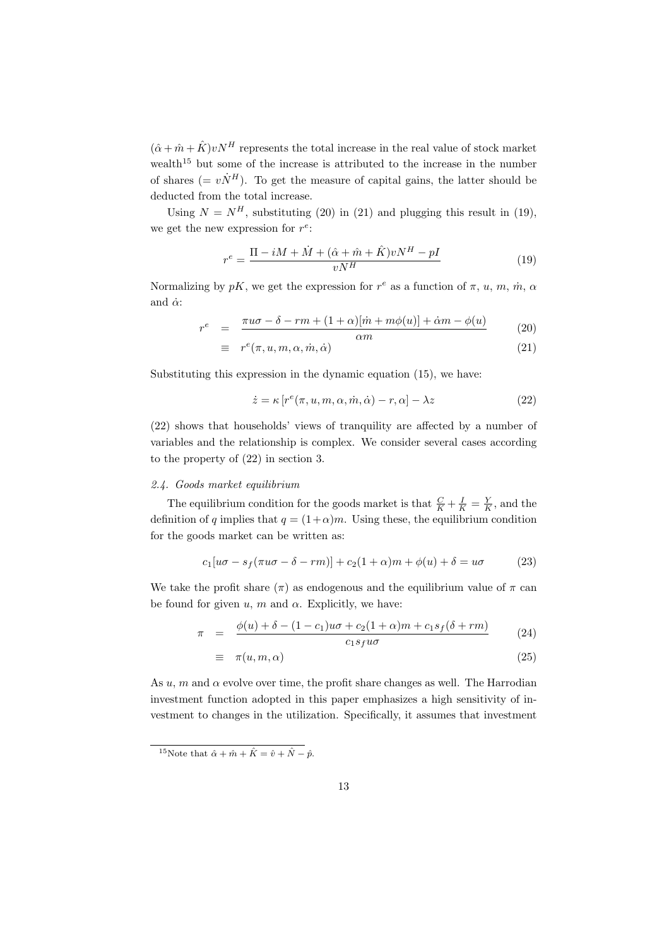$(\hat{\alpha} + \hat{m} + \hat{K}) v N^H$  represents the total increase in the real value of stock market wealth<sup>15</sup> but some of the increase is attributed to the increase in the number of shares ( $= v\dot{N}^H$ ). To get the measure of capital gains, the latter should be deducted from the total increase.

Using  $N = N<sup>H</sup>$ , substituting (20) in (21) and plugging this result in (19), we get the new expression for  $r^e$ :

$$
r^{e} = \frac{\Pi - iM + \dot{M} + (\hat{\alpha} + \hat{m} + \hat{K})vN^{H} - pI}{vN^{H}}
$$
\n(19)

Normalizing by  $pK$ , we get the expression for  $r^e$  as a function of  $\pi$ ,  $u$ ,  $m$ ,  $\dot{m}$ ,  $\alpha$ and  $\dot{\alpha}$ :

$$
r^{e} = \frac{\pi u \sigma - \delta - rm + (1 + \alpha)[\dot{m} + m\phi(u)] + \dot{\alpha}m - \phi(u)}{\alpha m}
$$
(20)

$$
\equiv r^e(\pi, u, m, \alpha, \dot{m}, \dot{\alpha}) \tag{21}
$$

Substituting this expression in the dynamic equation (15), we have:

$$
\dot{z} = \kappa \left[ r^e(\pi, u, m, \alpha, \dot{m}, \dot{\alpha}) - r, \alpha \right] - \lambda z \tag{22}
$$

(22) shows that households' views of tranquility are affected by a number of variables and the relationship is complex. We consider several cases according to the property of (22) in section 3.

#### *2.4. Goods market equilibrium*

The equilibrium condition for the goods market is that  $\frac{C}{K} + \frac{I}{K} = \frac{Y}{K}$ , and the definition of *q* implies that  $q = (1+\alpha)m$ . Using these, the equilibrium condition for the goods market can be written as:

$$
c_1[u\sigma - s_f(\pi u\sigma - \delta - rm)] + c_2(1+\alpha)m + \phi(u) + \delta = u\sigma \tag{23}
$$

We take the profit share  $(\pi)$  as endogenous and the equilibrium value of  $\pi$  can be found for given  $u$ ,  $m$  and  $\alpha$ . Explicitly, we have:

$$
\pi = \frac{\phi(u) + \delta - (1 - c_1)u\sigma + c_2(1 + \alpha)m + c_1s_f(\delta + rm)}{c_1s_fu\sigma} \tag{24}
$$

$$
\equiv \pi(u, m, \alpha) \tag{25}
$$

As  $u, m$  and  $\alpha$  evolve over time, the profit share changes as well. The Harrodian investment function adopted in this paper emphasizes a high sensitivity of investment to changes in the utilization. Specifically, it assumes that investment

<sup>&</sup>lt;sup>15</sup>Note that  $\hat{\alpha} + \hat{m} + \hat{K} = \hat{v} + \hat{N} - \hat{p}$ .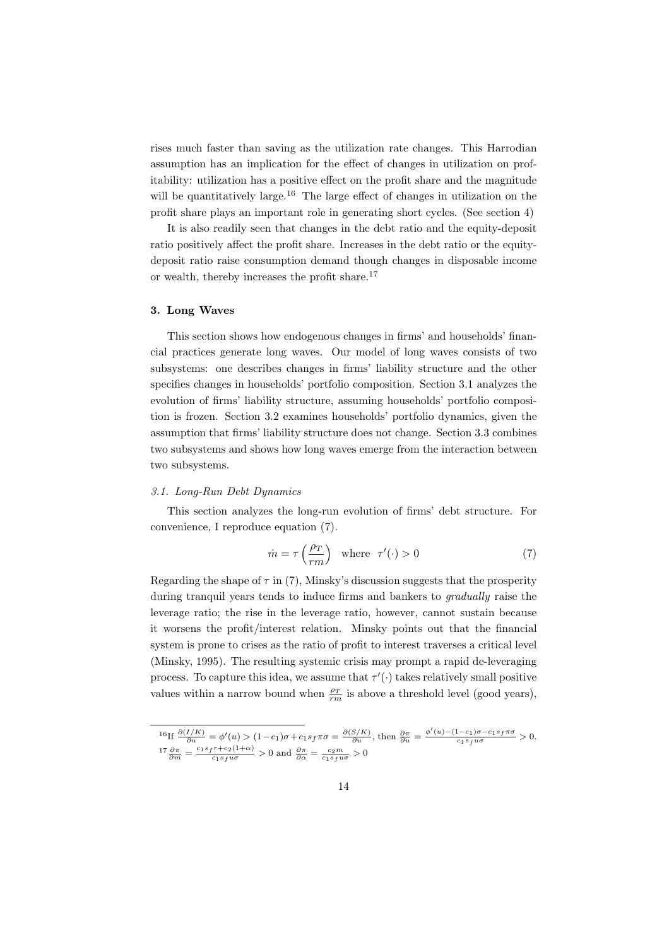rises much faster than saving as the utilization rate changes. This Harrodian assumption has an implication for the effect of changes in utilization on profitability: utilization has a positive effect on the profit share and the magnitude will be quantitatively large.<sup>16</sup> The large effect of changes in utilization on the profit share plays an important role in generating short cycles. (See section 4)

It is also readily seen that changes in the debt ratio and the equity-deposit ratio positively affect the profit share. Increases in the debt ratio or the equitydeposit ratio raise consumption demand though changes in disposable income or wealth, thereby increases the profit share. $17$ 

#### **3. Long Waves**

This section shows how endogenous changes in firms' and households' financial practices generate long waves. Our model of long waves consists of two subsystems: one describes changes in firms' liability structure and the other specifies changes in households' portfolio composition. Section 3.1 analyzes the evolution of firms' liability structure, assuming households' portfolio composition is frozen. Section 3.2 examines households' portfolio dynamics, given the assumption that firms' liability structure does not change. Section 3.3 combines two subsystems and shows how long waves emerge from the interaction between two subsystems.

#### *3.1. Long-Run Debt Dynamics*

This section analyzes the long-run evolution of firms' debt structure. For convenience, I reproduce equation (7).

$$
\dot{m} = \tau \left(\frac{\rho_T}{rm}\right) \quad \text{where} \quad \tau'(\cdot) > 0 \tag{7}
$$

Regarding the shape of  $\tau$  in (7), Minsky's discussion suggests that the prosperity during tranquil years tends to induce firms and bankers to *gradually* raise the leverage ratio; the rise in the leverage ratio, however, cannot sustain because it worsens the profit/interest relation. Minsky points out that the financial system is prone to crises as the ratio of profit to interest traverses a critical level (Minsky, 1995). The resulting systemic crisis may prompt a rapid de-leveraging process. To capture this idea, we assume that  $\tau'(\cdot)$  takes relatively small positive values within a narrow bound when  $\frac{\rho_T}{rm}$  is above a threshold level (good years),

<sup>&</sup>lt;sup>16</sup>If  $\frac{\partial (I/K)}{\partial u} = \phi'(u) > (1-c_1)\sigma + c_1 s_f \pi \sigma = \frac{\partial (S/K)}{\partial u}$ , then  $\frac{\partial \pi}{\partial u} = \frac{\phi'(u) - (1-c_1)\sigma - c_1 s_f \pi \sigma}{c_1 s_f u \sigma} > 0$ .<br>
<sup>17</sup> $\frac{\partial \pi}{\partial m} = \frac{c_1 s_f r + c_2 (1+\alpha)}{c_1 s_f u \sigma} > 0$  and  $\frac{\partial \pi}{\partial \alpha} = \frac{c_2 m}{c_1 s_f u \sigma} > 0$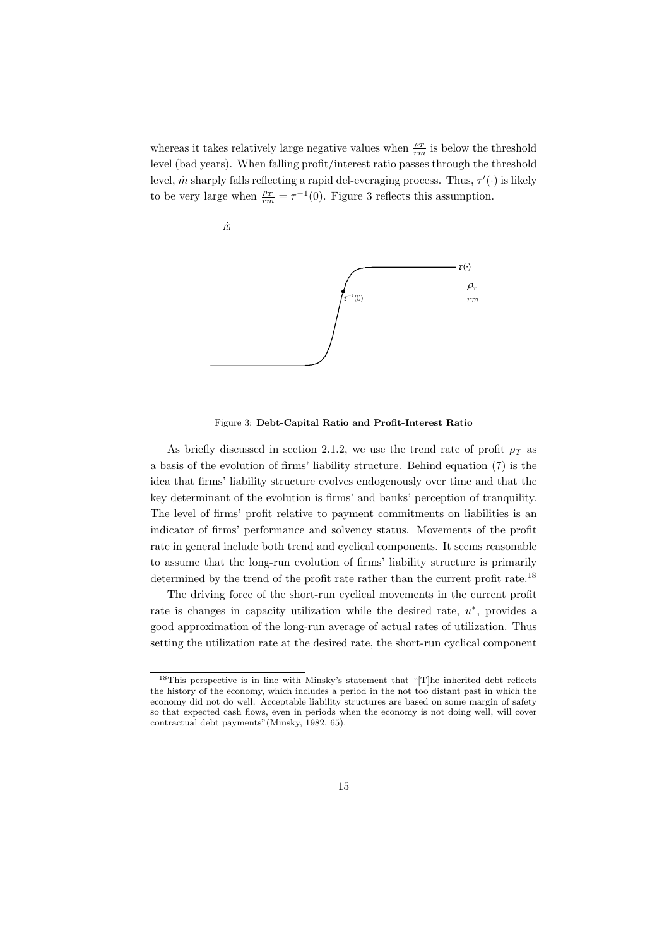whereas it takes relatively large negative values when  $\frac{\rho_T}{rm}$  is below the threshold level (bad years). When falling profit/interest ratio passes through the threshold level,  $\dot{m}$  sharply falls reflecting a rapid del-everaging process. Thus,  $\tau'(\cdot)$  is likely to be very large when  $\frac{\rho_T}{rm} = \tau^{-1}(0)$ . Figure 3 reflects this assumption.



Figure 3: **Debt-Capital Ratio and Profit-Interest Ratio**

As briefly discussed in section 2.1.2, we use the trend rate of profit  $\rho_T$  as a basis of the evolution of firms' liability structure. Behind equation (7) is the idea that firms' liability structure evolves endogenously over time and that the key determinant of the evolution is firms' and banks' perception of tranquility. The level of firms' profit relative to payment commitments on liabilities is an indicator of firms' performance and solvency status. Movements of the profit rate in general include both trend and cyclical components. It seems reasonable to assume that the long-run evolution of firms' liability structure is primarily determined by the trend of the profit rate rather than the current profit rate.<sup>18</sup>

The driving force of the short-run cyclical movements in the current profit rate is changes in capacity utilization while the desired rate, *u ∗* , provides a good approximation of the long-run average of actual rates of utilization. Thus setting the utilization rate at the desired rate, the short-run cyclical component

<sup>18</sup>This perspective is in line with Minsky's statement that "[T]he inherited debt reflects the history of the economy, which includes a period in the not too distant past in which the economy did not do well. Acceptable liability structures are based on some margin of safety so that expected cash flows, even in periods when the economy is not doing well, will cover contractual debt payments"(Minsky, 1982, 65).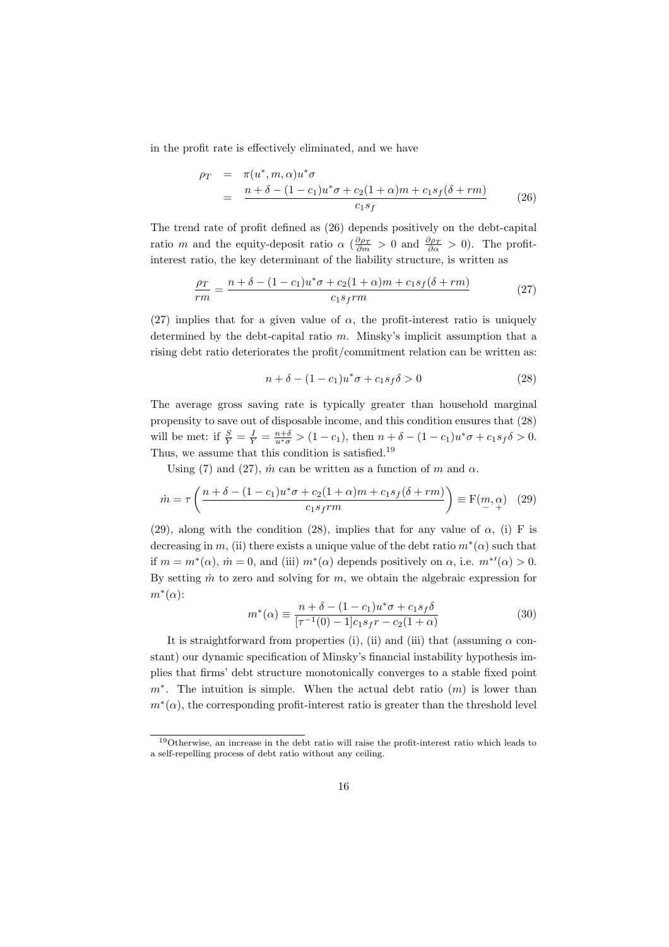in the profit rate is effectively eliminated, and we have

$$
\rho_T = \pi(u^*, m, \alpha)u^*\sigma
$$
  
= 
$$
\frac{n + \delta - (1 - c_1)u^*\sigma + c_2(1 + \alpha)m + c_1s_f(\delta + rm)}{c_1s_f}
$$
 (26)

The trend rate of profit defined as (26) depends positively on the debt-capital ratio *m* and the equity-deposit ratio  $\alpha$  ( $\frac{\partial \rho_T}{\partial m} > 0$  and  $\frac{\partial \rho_T}{\partial \alpha} > 0$ ). The profitinterest ratio, the key determinant of the liability structure, is written as

$$
\frac{\rho_T}{rm} = \frac{n + \delta - (1 - c_1)u^*\sigma + c_2(1 + \alpha)m + c_1s_f(\delta + rm)}{c_1s_frm}
$$
(27)

(27) implies that for a given value of  $\alpha$ , the profit-interest ratio is uniquely determined by the debt-capital ratio *m*. Minsky's implicit assumption that a rising debt ratio deteriorates the profit/commitment relation can be written as:

$$
n + \delta - (1 - c_1)u^*\sigma + c_1s_f\delta > 0
$$
\n<sup>(28)</sup>

The average gross saving rate is typically greater than household marginal propensity to save out of disposable income, and this condition ensures that (28) will be met: if  $\frac{S}{Y} = \frac{I}{Y} = \frac{n+\delta}{u^*\sigma} > (1-c_1)$ , then  $n+\delta - (1-c_1)u^*\sigma + c_1s_f\delta > 0$ . Thus, we assume that this condition is satisfied.<sup>19</sup>

Using (7) and (27),  $\dot{m}$  can be written as a function of  $m$  and  $\alpha$ .

$$
\dot{m} = \tau \left( \frac{n + \delta - (1 - c_1)u^* \sigma + c_2 (1 + \alpha) m + c_1 s_f (\delta + r m)}{c_1 s_f r m} \right) \equiv \mathcal{F}(m, \alpha) \quad (29)
$$

(29), along with the condition (28), implies that for any value of  $\alpha$ , (i) F is decreasing in *m*, (ii) there exists a unique value of the debt ratio  $m^*(\alpha)$  such that if  $m = m^*(\alpha)$ ,  $\dot{m} = 0$ , and (iii)  $m^*(\alpha)$  depends positively on  $\alpha$ , i.e.  $m^{*'}(\alpha) > 0$ . By setting  $\dot{m}$  to zero and solving for  $m$ , we obtain the algebraic expression for *m<sup>∗</sup>* (*α*):

$$
m^*(\alpha) \equiv \frac{n + \delta - (1 - c_1)u^*\sigma + c_1s_f\delta}{[\tau^{-1}(0) - 1]c_1s_f r - c_2(1 + \alpha)}
$$
(30)

It is straightforward from properties (i), (ii) and (iii) that (assuming  $\alpha$  constant) our dynamic specification of Minsky's financial instability hypothesis implies that firms' debt structure monotonically converges to a stable fixed point *m*<sup>∗</sup>. The intuition is simple. When the actual debt ratio  $(m)$  is lower than  $m<sup>*</sup>(\alpha)$ , the corresponding profit-interest ratio is greater than the threshold level

<sup>19</sup>Otherwise, an increase in the debt ratio will raise the profit-interest ratio which leads to a self-repelling process of debt ratio without any ceiling.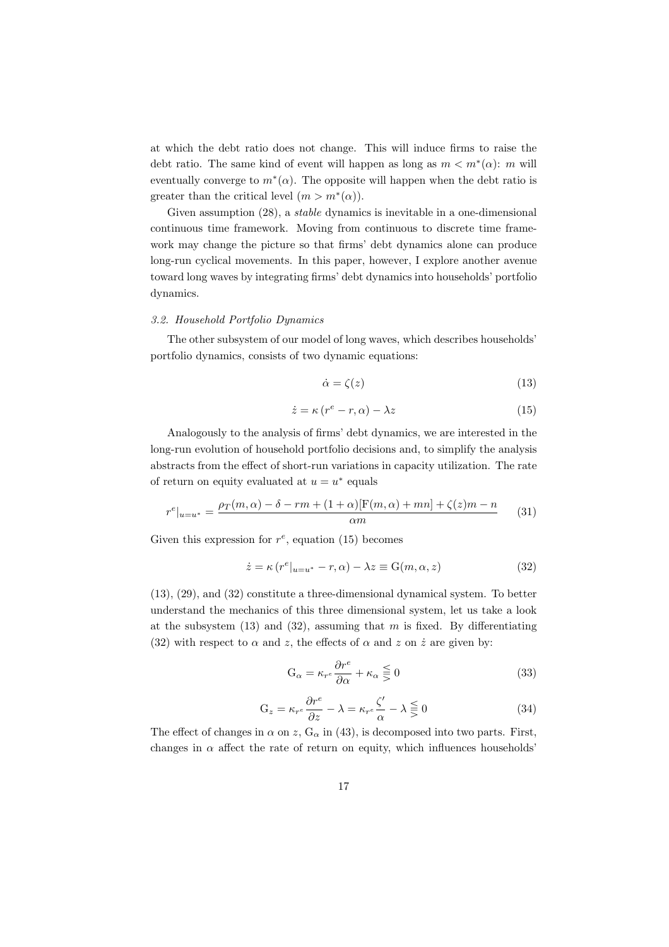at which the debt ratio does not change. This will induce firms to raise the debt ratio. The same kind of event will happen as long as  $m < m^*(\alpha)$ : *m* will eventually converge to  $m^*(\alpha)$ . The opposite will happen when the debt ratio is greater than the critical level  $(m > m^*(\alpha))$ .

Given assumption (28), a *stable* dynamics is inevitable in a one-dimensional continuous time framework. Moving from continuous to discrete time framework may change the picture so that firms' debt dynamics alone can produce long-run cyclical movements. In this paper, however, I explore another avenue toward long waves by integrating firms' debt dynamics into households' portfolio dynamics.

#### *3.2. Household Portfolio Dynamics*

The other subsystem of our model of long waves, which describes households' portfolio dynamics, consists of two dynamic equations:

$$
\dot{\alpha} = \zeta(z) \tag{13}
$$

$$
\dot{z} = \kappa (r^e - r, \alpha) - \lambda z \tag{15}
$$

Analogously to the analysis of firms' debt dynamics, we are interested in the long-run evolution of household portfolio decisions and, to simplify the analysis abstracts from the effect of short-run variations in capacity utilization. The rate of return on equity evaluated at  $u = u^*$  equals

$$
r^{e}|_{u=u^{*}} = \frac{\rho_{T}(m,\alpha) - \delta - rm + (1+\alpha)[F(m,\alpha) + mn] + \zeta(z)m - n}{\alpha m}
$$
 (31)

Given this expression for  $r^e$ , equation (15) becomes

$$
\dot{z} = \kappa (r^{e}|_{u=u^{*}} - r, \alpha) - \lambda z \equiv G(m, \alpha, z)
$$
\n(32)

(13), (29), and (32) constitute a three-dimensional dynamical system. To better understand the mechanics of this three dimensional system, let us take a look at the subsystem (13) and (32), assuming that *m* is fixed. By differentiating (32) with respect to  $\alpha$  and  $z$ , the effects of  $\alpha$  and  $z$  on  $\dot{z}$  are given by:

$$
G_{\alpha} = \kappa_{r}e \frac{\partial r^{e}}{\partial \alpha} + \kappa_{\alpha} \leq 0
$$
 (33)

$$
G_z = \kappa_{r^e} \frac{\partial r^e}{\partial z} - \lambda = \kappa_{r^e} \frac{\zeta'}{\alpha} - \lambda \lesseqgtr 0 \tag{34}
$$

The effect of changes in  $\alpha$  on  $z$ ,  $G_{\alpha}$  in (43), is decomposed into two parts. First, changes in  $\alpha$  affect the rate of return on equity, which influences households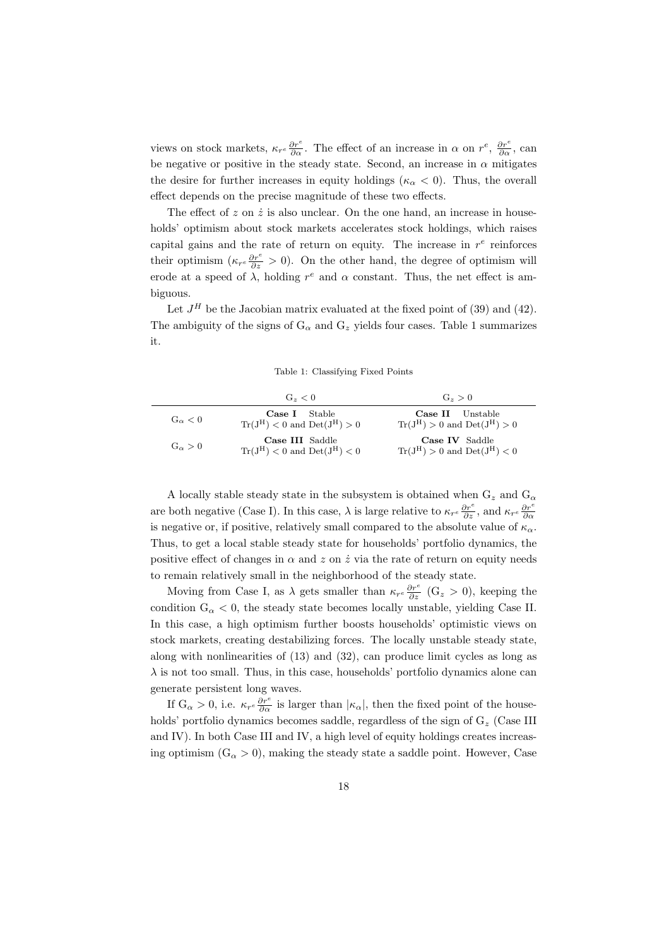views on stock markets,  $\kappa_{r}e \frac{\partial r^{e}}{\partial \alpha}$ . The effect of an increase in  $\alpha$  on  $r^{e}$ ,  $\frac{\partial r^{e}}{\partial \alpha}$ , can be negative or positive in the steady state. Second, an increase in  $\alpha$  mitigates the desire for further increases in equity holdings ( $\kappa_{\alpha}$  < 0). Thus, the overall effect depends on the precise magnitude of these two effects.

The effect of  $z$  on  $\dot{z}$  is also unclear. On the one hand, an increase in households' optimism about stock markets accelerates stock holdings, which raises capital gains and the rate of return on equity. The increase in  $r^e$  reinforces their optimism  $(\kappa_r e^{\frac{\partial r^e}{\partial z}} > 0)$ . On the other hand, the degree of optimism will erode at a speed of  $\lambda$ , holding  $r^e$  and  $\alpha$  constant. Thus, the net effect is ambiguous.

Let  $J^H$  be the Jacobian matrix evaluated at the fixed point of  $(39)$  and  $(42)$ . The ambiguity of the signs of  $G_{\alpha}$  and  $G_{z}$  yields four cases. Table 1 summarizes it.

Table 1: Classifying Fixed Points

|                  | $G_{z} < 0$                                                            | $G_z > 0$                                                                 |
|------------------|------------------------------------------------------------------------|---------------------------------------------------------------------------|
| $G_{\alpha} < 0$ | <b>Case I</b> Stable<br>$\text{Tr}(J^H) < 0$ and $\text{Det}(J^H) > 0$ | <b>Case II</b> Unstable<br>$\text{Tr}(J^H) > 0$ and $\text{Det}(J^H) > 0$ |
| $G_{\alpha} > 0$ | Case III Saddle<br>$\text{Tr}(J^H) < 0$ and $\text{Det}(J^H) < 0$      | Case IV Saddle<br>$\text{Tr}(J^H) > 0$ and $\text{Det}(J^H) < 0$          |

A locally stable steady state in the subsystem is obtained when  $G_z$  and  $G_\alpha$ are both negative (Case I). In this case,  $\lambda$  is large relative to  $\kappa_{r}e\frac{\partial r^e}{\partial z}$ , and  $\kappa_{r}e\frac{\partial r^e}{\partial \alpha}$ is negative or, if positive, relatively small compared to the absolute value of  $\kappa_{\alpha}$ . Thus, to get a local stable steady state for households' portfolio dynamics, the positive effect of changes in  $\alpha$  and  $z$  on  $\dot{z}$  via the rate of return on equity needs to remain relatively small in the neighborhood of the steady state.

Moving from Case I, as  $\lambda$  gets smaller than  $\kappa_{r^e} \frac{\partial r^e}{\partial z}$  (G<sub>z</sub> > 0), keeping the condition  $G_{\alpha}$  < 0, the steady state becomes locally unstable, yielding Case II. In this case, a high optimism further boosts households' optimistic views on stock markets, creating destabilizing forces. The locally unstable steady state, along with nonlinearities of (13) and (32), can produce limit cycles as long as  $\lambda$  is not too small. Thus, in this case, households' portfolio dynamics alone can generate persistent long waves.

If  $G_{\alpha} > 0$ , i.e.  $\kappa_{r}e \frac{\partial r^{e}}{\partial \alpha}$  is larger than  $|\kappa_{\alpha}|$ , then the fixed point of the households' portfolio dynamics becomes saddle, regardless of the sign of  $G_z$  (Case III) and IV). In both Case III and IV, a high level of equity holdings creates increasing optimism  $(G_{\alpha} > 0)$ , making the steady state a saddle point. However, Case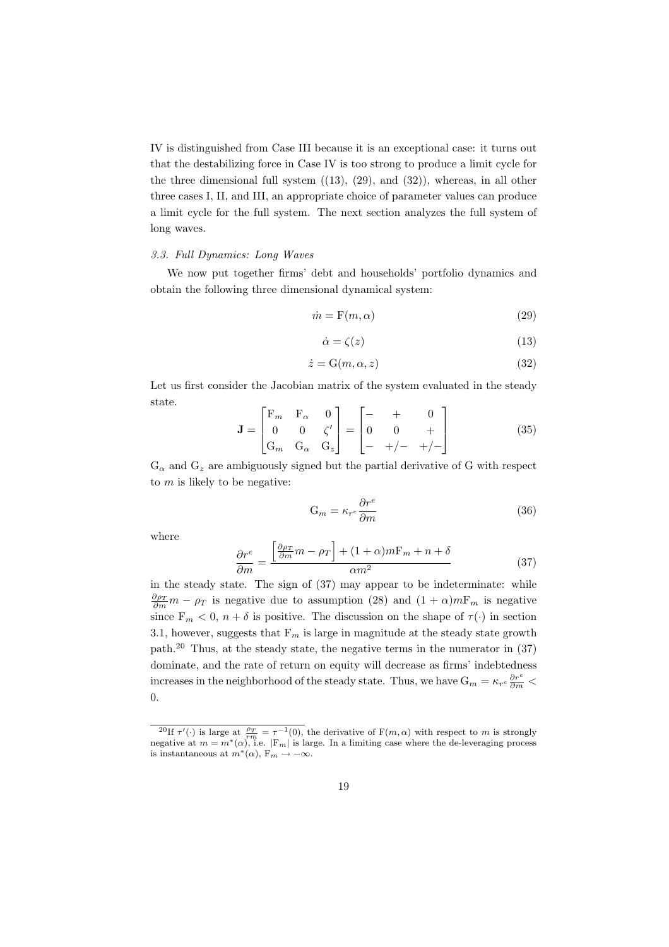IV is distinguished from Case III because it is an exceptional case: it turns out that the destabilizing force in Case IV is too strong to produce a limit cycle for the three dimensional full system  $((13), (29),$  and  $(32))$ , whereas, in all other three cases I, II, and III, an appropriate choice of parameter values can produce a limit cycle for the full system. The next section analyzes the full system of long waves.

#### *3.3. Full Dynamics: Long Waves*

We now put together firms' debt and households' portfolio dynamics and obtain the following three dimensional dynamical system:

$$
\dot{m} = \mathcal{F}(m, \alpha) \tag{29}
$$

$$
\dot{\alpha} = \zeta(z) \tag{13}
$$

$$
\dot{z} = \mathcal{G}(m, \alpha, z) \tag{32}
$$

Let us first consider the Jacobian matrix of the system evaluated in the steady state.

$$
\mathbf{J} = \begin{bmatrix} F_m & F_\alpha & 0 \\ 0 & 0 & \zeta' \\ G_m & G_\alpha & G_z \end{bmatrix} = \begin{bmatrix} - & + & 0 \\ 0 & 0 & + \\ - & +/- & +/- \end{bmatrix}
$$
(35)

 $G_{\alpha}$  and  $G_z$  are ambiguously signed but the partial derivative of G with respect to *m* is likely to be negative:

$$
G_m = \kappa_{r^e} \frac{\partial r^e}{\partial m} \tag{36}
$$

where

$$
\frac{\partial r^e}{\partial m} = \frac{\left[\frac{\partial \rho_T}{\partial m}m - \rho_T\right] + (1 + \alpha)mF_m + n + \delta}{\alpha m^2} \tag{37}
$$

in the steady state. The sign of (37) may appear to be indeterminate: while  $\frac{\partial \rho_T}{\partial m} m - \rho_T$  is negative due to assumption (28) and  $(1 + \alpha)mF_m$  is negative since  $F_m < 0$ ,  $n + \delta$  is positive. The discussion on the shape of  $\tau(\cdot)$  in section 3.1, however, suggests that  $F_m$  is large in magnitude at the steady state growth path.<sup>20</sup> Thus, at the steady state, the negative terms in the numerator in (37) dominate, and the rate of return on equity will decrease as firms' indebtedness increases in the neighborhood of the steady state. Thus, we have  $G_m = \kappa_{r^e} \frac{\partial r^e}{\partial m}$ 0.

<sup>&</sup>lt;sup>20</sup>If  $\tau'(\cdot)$  is large at  $\frac{\rho_T}{rm} = \tau^{-1}(0)$ , the derivative of  $F(m,\alpha)$  with respect to *m* is strongly negative at  $m = m^*(\alpha)$ , i.e.  $|F_m|$  is large. In a limiting case where the de-leveraging process is instantaneous at  $m^*(\alpha)$ ,  $F_m \to -\infty$ .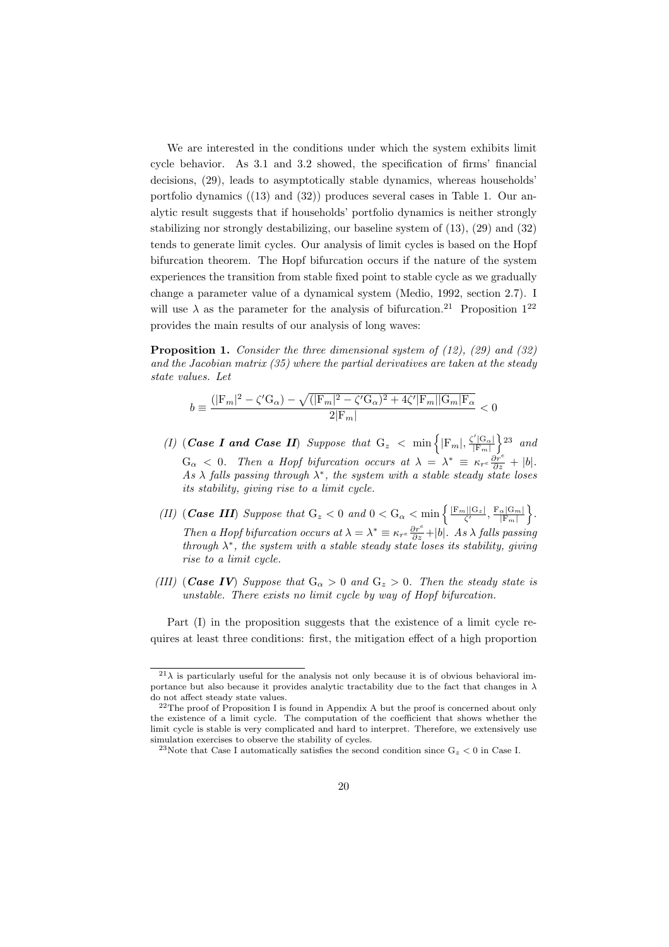We are interested in the conditions under which the system exhibits limit cycle behavior. As 3.1 and 3.2 showed, the specification of firms' financial decisions, (29), leads to asymptotically stable dynamics, whereas households' portfolio dynamics ((13) and (32)) produces several cases in Table 1. Our analytic result suggests that if households' portfolio dynamics is neither strongly stabilizing nor strongly destabilizing, our baseline system of (13), (29) and (32) tends to generate limit cycles. Our analysis of limit cycles is based on the Hopf bifurcation theorem. The Hopf bifurcation occurs if the nature of the system experiences the transition from stable fixed point to stable cycle as we gradually change a parameter value of a dynamical system (Medio, 1992, section 2.7). I will use  $\lambda$  as the parameter for the analysis of bifurcation.<sup>21</sup> Proposition 1<sup>22</sup> provides the main results of our analysis of long waves:

**Proposition 1.** *Consider the three dimensional system of (12), (29) and (32) and the Jacobian matrix (35) where the partial derivatives are taken at the steady state values. Let*

$$
b \equiv \frac{(|\mathbf{F}_m|^2 - \zeta'\mathbf{G}_\alpha) - \sqrt{(|\mathbf{F}_m|^2 - \zeta'\mathbf{G}_\alpha)^2 + 4\zeta'|\mathbf{F}_m||\mathbf{G}_m|\mathbf{F}_\alpha}}{2|\mathbf{F}_m|} < 0
$$

- *(I)* (*Case I and Case II) Suppose that*  $G_z < \min \left\{ |F_m|, \frac{\zeta' |G_{\alpha}|}{|F_{\alpha'}|} \right\}$ *|*F*m|* } <sup>23</sup> *and*  $G_{\alpha} < 0$ . Then a Hopf bifurcation occurs at  $\lambda = \lambda^* \equiv \kappa_{r^e} \frac{\partial r^e}{\partial z} + |b|$ . *As λ falls passing through λ ∗ , the system with a stable steady state loses its stability, giving rise to a limit cycle.*
- *(II) (Case III) Suppose that*  $G_z < 0$  *and*  $0 < G_\alpha < \min\left\{ \frac{|F_m||G_z|}{\zeta'}, \frac{F_\alpha|G_m|}{|F_m|} \right\}$ *|*F*m|* } *. Then a Hopf bifurcation occurs at*  $\lambda = \lambda^* \equiv \kappa_{r^e} \frac{\partial r^e}{\partial z} + |b|$ *. As*  $\lambda$  *falls passing through λ ∗ , the system with a stable steady state loses its stability, giving rise to a limit cycle.*
- *(III)* (*Case IV*) *Suppose that*  $G_{\alpha} > 0$  *and*  $G_{z} > 0$ *. Then the steady state is unstable. There exists no limit cycle by way of Hopf bifurcation.*

Part (I) in the proposition suggests that the existence of a limit cycle requires at least three conditions: first, the mitigation effect of a high proportion

 $^{21}\lambda$  is particularly useful for the analysis not only because it is of obvious behavioral importance but also because it provides analytic tractability due to the fact that changes in *λ* do not affect steady state values.

 $^{22}$ The proof of Proposition I is found in Appendix A but the proof is concerned about only the existence of a limit cycle. The computation of the coefficient that shows whether the limit cycle is stable is very complicated and hard to interpret. Therefore, we extensively use simulation exercises to observe the stability of cycles.

<sup>&</sup>lt;sup>23</sup>Note that Case I automatically satisfies the second condition since  $G_z < 0$  in Case I.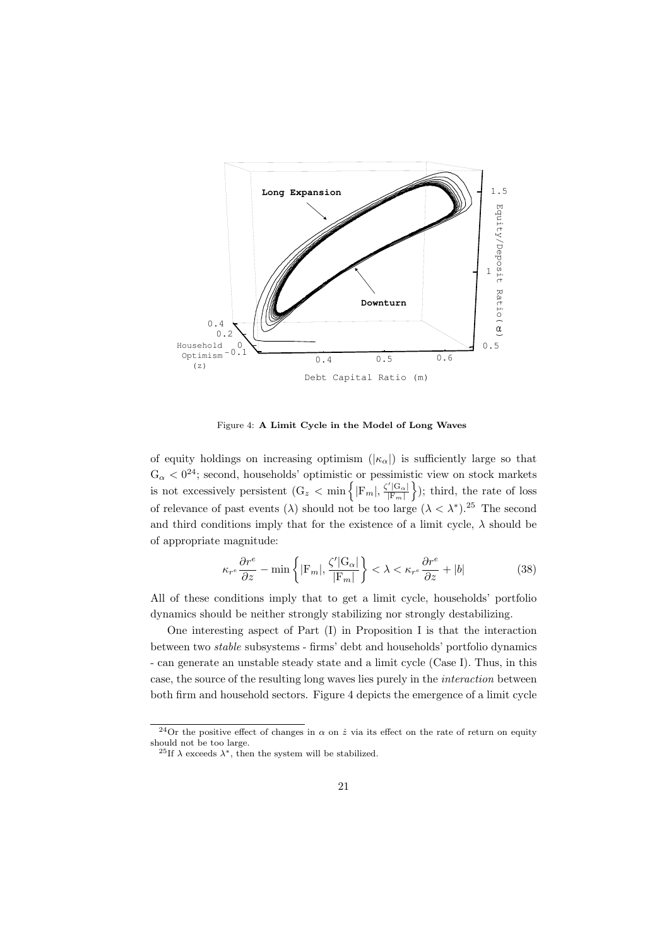

Figure 4: **A Limit Cycle in the Model of Long Waves**

of equity holdings on increasing optimism  $(|\kappa_{\alpha}|)$  is sufficiently large so that  $G_{\alpha} < 0^{24}$ ; second, households' optimistic or pessimistic view on stock markets is not excessively persistent  $(G_z < min)$   $\{ |F_m|, \frac{\zeta' |G_{\alpha}|}{|F_m|} \}$ *|*F*m|* } ); third, the rate of loss of relevance of past events ( $\lambda$ ) should not be too large ( $\lambda < \lambda^*$ ).<sup>25</sup> The second and third conditions imply that for the existence of a limit cycle,  $\lambda$  should be of appropriate magnitude:

$$
\kappa_{r^e} \frac{\partial r^e}{\partial z} - \min \left\{ |\mathcal{F}_m|, \frac{\zeta' | \mathcal{G}_\alpha|}{|\mathcal{F}_m|} \right\} < \lambda < \kappa_{r^e} \frac{\partial r^e}{\partial z} + |b| \tag{38}
$$

All of these conditions imply that to get a limit cycle, households' portfolio dynamics should be neither strongly stabilizing nor strongly destabilizing.

One interesting aspect of Part (I) in Proposition I is that the interaction between two *stable* subsystems - firms' debt and households' portfolio dynamics - can generate an unstable steady state and a limit cycle (Case I). Thus, in this case, the source of the resulting long waves lies purely in the *interaction* between both firm and household sectors. Figure 4 depicts the emergence of a limit cycle

<sup>&</sup>lt;sup>24</sup>Or the positive effect of changes in  $\alpha$  on  $\dot{z}$  via its effect on the rate of return on equity should not be too large.

<sup>&</sup>lt;sup>25</sup>If  $\lambda$  exceeds  $\lambda^*$ , then the system will be stabilized.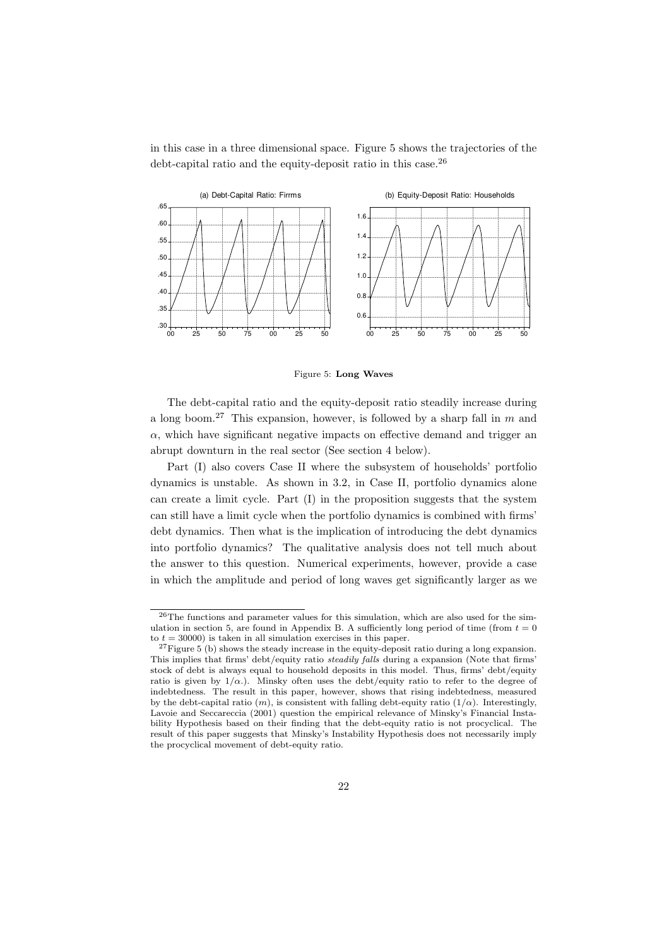in this case in a three dimensional space. Figure 5 shows the trajectories of the debt-capital ratio and the equity-deposit ratio in this case.<sup>26</sup>



Figure 5: **Long Waves**

The debt-capital ratio and the equity-deposit ratio steadily increase during a long boom.<sup>27</sup> This expansion, however, is followed by a sharp fall in *m* and  $\alpha$ , which have significant negative impacts on effective demand and trigger an abrupt downturn in the real sector (See section 4 below).

Part (I) also covers Case II where the subsystem of households' portfolio dynamics is unstable. As shown in 3.2, in Case II, portfolio dynamics alone can create a limit cycle. Part (I) in the proposition suggests that the system can still have a limit cycle when the portfolio dynamics is combined with firms' debt dynamics. Then what is the implication of introducing the debt dynamics into portfolio dynamics? The qualitative analysis does not tell much about the answer to this question. Numerical experiments, however, provide a case in which the amplitude and period of long waves get significantly larger as we

<sup>26</sup>The functions and parameter values for this simulation, which are also used for the simulation in section 5, are found in Appendix B. A sufficiently long period of time (from  $t = 0$ ) to  $t = 30000$ ) is taken in all simulation exercises in this paper.

 $27$ Figure 5 (b) shows the steady increase in the equity-deposit ratio during a long expansion. This implies that firms' debt/equity ratio *steadily falls* during a expansion (Note that firms' stock of debt is always equal to household deposits in this model. Thus, firms' debt/equity ratio is given by  $1/\alpha$ .). Minsky often uses the debt/equity ratio to refer to the degree of indebtedness. The result in this paper, however, shows that rising indebtedness, measured by the debt-capital ratio  $(m)$ , is consistent with falling debt-equity ratio  $(1/\alpha)$ . Interestingly, Lavoie and Seccareccia (2001) question the empirical relevance of Minsky's Financial Instability Hypothesis based on their finding that the debt-equity ratio is not procyclical. The result of this paper suggests that Minsky's Instability Hypothesis does not necessarily imply the procyclical movement of debt-equity ratio.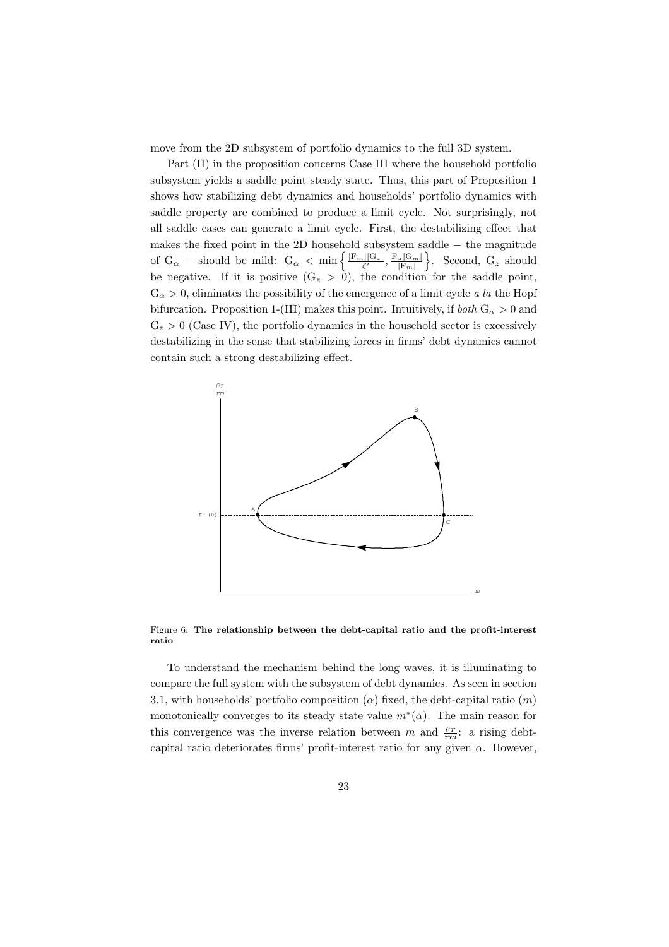move from the 2D subsystem of portfolio dynamics to the full 3D system.

Part (II) in the proposition concerns Case III where the household portfolio subsystem yields a saddle point steady state. Thus, this part of Proposition 1 shows how stabilizing debt dynamics and households' portfolio dynamics with saddle property are combined to produce a limit cycle. Not surprisingly, not all saddle cases can generate a limit cycle. First, the destabilizing effect that makes the fixed point in the 2D household subsystem saddle *−* the magnitude of G<sub>*a*</sub> *–* should be mild:  $G_{\alpha} < \min \left\{ \frac{|F_m||G_z|}{\zeta'} , \frac{F_{\alpha}|G_m|}{|F_m|} \right\}$ *|*F*m|*  $\}$ . Second,  $G_z$  should be negative. If it is positive  $(G_z > 0)$ , the condition for the saddle point,  $G_{\alpha} > 0$ , eliminates the possibility of the emergence of a limit cycle *a la* the Hopf bifurcation. Proposition 1-(III) makes this point. Intuitively, if *both*  $G_{\alpha} > 0$  and  $G_z > 0$  (Case IV), the portfolio dynamics in the household sector is excessively destabilizing in the sense that stabilizing forces in firms' debt dynamics cannot contain such a strong destabilizing effect.



Figure 6: **The relationship between the debt-capital ratio and the profit-interest ratio**

To understand the mechanism behind the long waves, it is illuminating to compare the full system with the subsystem of debt dynamics. As seen in section 3.1, with households' portfolio composition  $(\alpha)$  fixed, the debt-capital ratio  $(m)$ monotonically converges to its steady state value  $m^*(\alpha)$ . The main reason for this convergence was the inverse relation between *m* and  $\frac{\rho_T}{rm}$ : a rising debtcapital ratio deteriorates firms' profit-interest ratio for any given  $\alpha$ . However,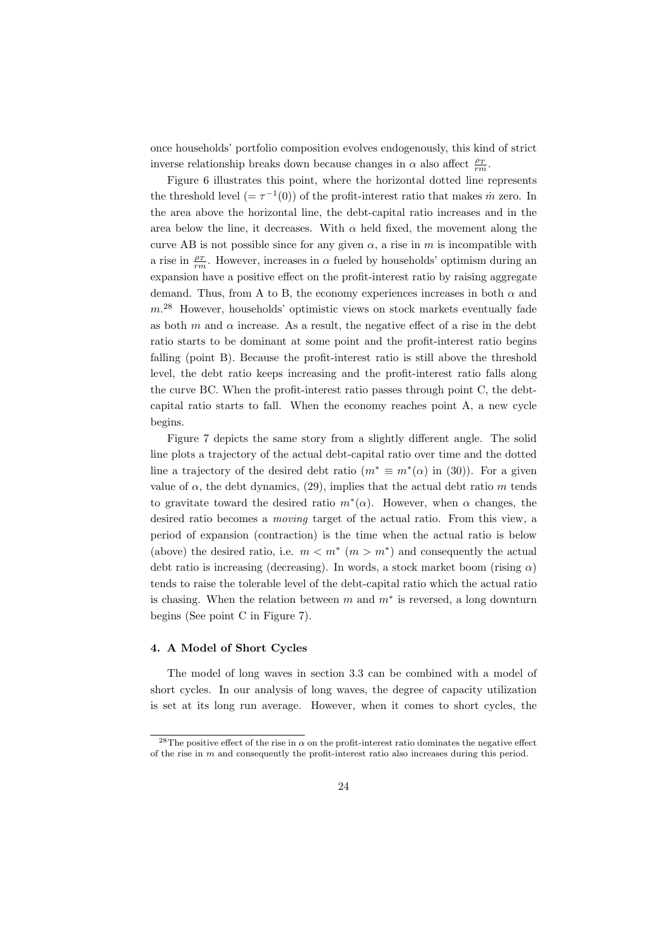once households' portfolio composition evolves endogenously, this kind of strict inverse relationship breaks down because changes in  $\alpha$  also affect  $\frac{\rho_T}{rm}$ .

Figure 6 illustrates this point, where the horizontal dotted line represents the threshold level  $(=\tau^{-1}(0))$  of the profit-interest ratio that makes  $\dot{m}$  zero. In the area above the horizontal line, the debt-capital ratio increases and in the area below the line, it decreases. With  $\alpha$  held fixed, the movement along the curve AB is not possible since for any given  $\alpha$ , a rise in  $m$  is incompatible with a rise in  $\frac{\rho_T}{rm}$ . However, increases in  $\alpha$  fueled by households' optimism during an expansion have a positive effect on the profit-interest ratio by raising aggregate demand. Thus, from A to B, the economy experiences increases in both  $\alpha$  and *m*. <sup>28</sup> However, households' optimistic views on stock markets eventually fade as both  $m$  and  $\alpha$  increase. As a result, the negative effect of a rise in the debt ratio starts to be dominant at some point and the profit-interest ratio begins falling (point B). Because the profit-interest ratio is still above the threshold level, the debt ratio keeps increasing and the profit-interest ratio falls along the curve BC. When the profit-interest ratio passes through point C, the debtcapital ratio starts to fall. When the economy reaches point A, a new cycle begins.

Figure 7 depicts the same story from a slightly different angle. The solid line plots a trajectory of the actual debt-capital ratio over time and the dotted line a trajectory of the desired debt ratio  $(m^* \equiv m^*(\alpha)$  in (30)). For a given value of  $\alpha$ , the debt dynamics, (29), implies that the actual debt ratio  $m$  tends to gravitate toward the desired ratio  $m^*(\alpha)$ . However, when  $\alpha$  changes, the desired ratio becomes a *moving* target of the actual ratio. From this view, a period of expansion (contraction) is the time when the actual ratio is below (above) the desired ratio, i.e.  $m < m^*$  ( $m > m^*$ ) and consequently the actual debt ratio is increasing (decreasing). In words, a stock market boom (rising *α*) tends to raise the tolerable level of the debt-capital ratio which the actual ratio is chasing. When the relation between *m* and *m<sup>∗</sup>* is reversed, a long downturn begins (See point C in Figure 7).

#### **4. A Model of Short Cycles**

The model of long waves in section 3.3 can be combined with a model of short cycles. In our analysis of long waves, the degree of capacity utilization is set at its long run average. However, when it comes to short cycles, the

<sup>&</sup>lt;sup>28</sup>The positive effect of the rise in  $\alpha$  on the profit-interest ratio dominates the negative effect of the rise in *m* and consequently the profit-interest ratio also increases during this period.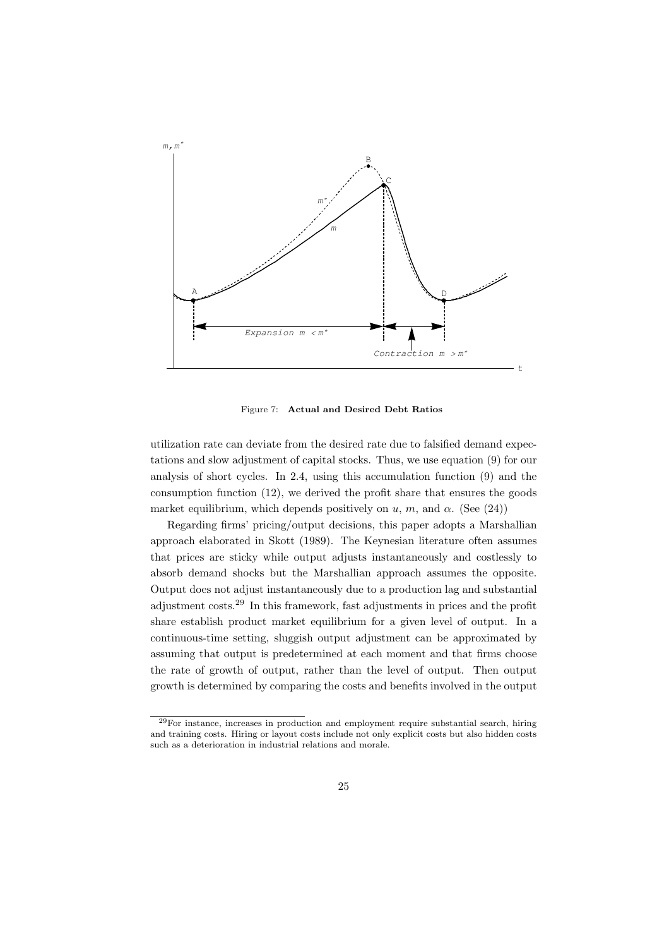

Figure 7: **Actual and Desired Debt Ratios**

utilization rate can deviate from the desired rate due to falsified demand expectations and slow adjustment of capital stocks. Thus, we use equation (9) for our analysis of short cycles. In 2.4, using this accumulation function (9) and the consumption function (12), we derived the profit share that ensures the goods market equilibrium, which depends positively on  $u, m$ , and  $\alpha$ . (See (24))

Regarding firms' pricing/output decisions, this paper adopts a Marshallian approach elaborated in Skott (1989). The Keynesian literature often assumes that prices are sticky while output adjusts instantaneously and costlessly to absorb demand shocks but the Marshallian approach assumes the opposite. Output does not adjust instantaneously due to a production lag and substantial adjustment costs.<sup>29</sup> In this framework, fast adjustments in prices and the profit share establish product market equilibrium for a given level of output. In a continuous-time setting, sluggish output adjustment can be approximated by assuming that output is predetermined at each moment and that firms choose the rate of growth of output, rather than the level of output. Then output growth is determined by comparing the costs and benefits involved in the output

 $^{29}$ For instance, increases in production and employment require substantial search, hiring and training costs. Hiring or layout costs include not only explicit costs but also hidden costs such as a deterioration in industrial relations and morale.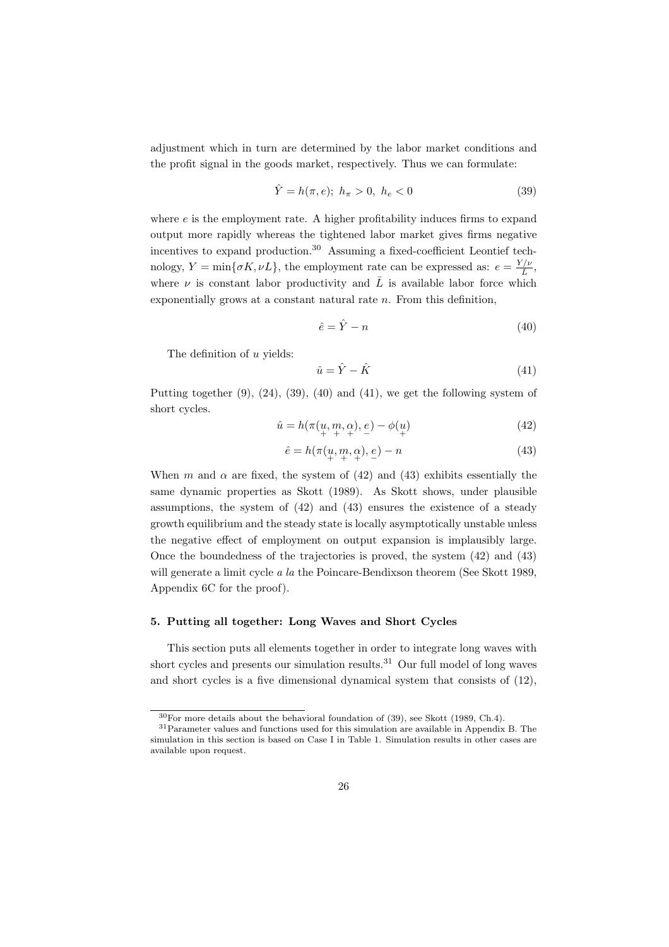adjustment which in turn are determined by the labor market conditions and the profit signal in the goods market, respectively. Thus we can formulate:

$$
\hat{Y} = h(\pi, e); h_{\pi} > 0, h_e < 0
$$
\n(39)

where  $e$  is the employment rate. A higher profitability induces firms to expand output more rapidly whereas the tightened labor market gives firms negative incentives to expand production.<sup>30</sup> Assuming a fixed-coefficient Leontief technology,  $Y = \min\{\sigma K, \nu L\}$ , the employment rate can be expressed as:  $e = \frac{Y/\nu}{\bar{L}}$ , where  $\nu$  is constant labor productivity and  $\overline{L}$  is available labor force which exponentially grows at a constant natural rate *n*. From this definition,

$$
\hat{e} = \hat{Y} - n \tag{40}
$$

The definition of *u* yields:

$$
\hat{u} = \hat{Y} - \hat{K} \tag{41}
$$

Putting together  $(9)$ ,  $(24)$ ,  $(39)$ ,  $(40)$  and  $(41)$ , we get the following system of short cycles.

$$
\hat{u} = h(\pi(\mu, m, \alpha), e) - \phi(\mu)
$$
\n<sup>(42)</sup>

$$
\hat{e} = h(\pi(\underbrace{u}_{+}, \underbrace{m}_{+}, \underbrace{\alpha}_{+}) - n \tag{43}
$$

When *m* and  $\alpha$  are fixed, the system of (42) and (43) exhibits essentially the same dynamic properties as Skott (1989). As Skott shows, under plausible assumptions, the system of (42) and (43) ensures the existence of a steady growth equilibrium and the steady state is locally asymptotically unstable unless the negative effect of employment on output expansion is implausibly large. Once the boundedness of the trajectories is proved, the system (42) and (43) will generate a limit cycle *a la* the Poincare-Bendixson theorem (See Skott 1989, Appendix 6C for the proof).

#### **5. Putting all together: Long Waves and Short Cycles**

This section puts all elements together in order to integrate long waves with short cycles and presents our simulation results.<sup>31</sup> Our full model of long waves and short cycles is a five dimensional dynamical system that consists of (12),

 $30$ For more details about the behavioral foundation of (39), see Skott (1989, Ch.4).

<sup>31</sup>Parameter values and functions used for this simulation are available in Appendix B. The simulation in this section is based on Case I in Table 1. Simulation results in other cases are available upon request.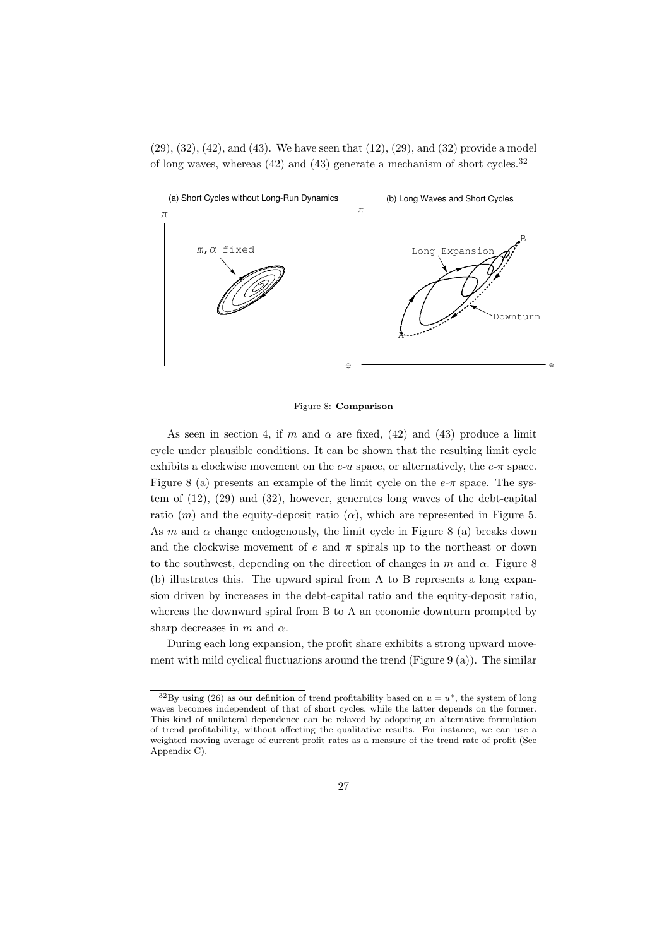$(29), (32), (42),$  and  $(43).$  We have seen that  $(12), (29),$  and  $(32)$  provide a model of long waves, whereas  $(42)$  and  $(43)$  generate a mechanism of short cycles.<sup>32</sup>



#### Figure 8: **Comparison**

As seen in section 4, if *m* and  $\alpha$  are fixed, (42) and (43) produce a limit cycle under plausible conditions. It can be shown that the resulting limit cycle exhibits a clockwise movement on the  $e$ -*u* space, or alternatively, the  $e$ - $\pi$  space. Figure 8 (a) presents an example of the limit cycle on the  $e-\pi$  space. The system of (12), (29) and (32), however, generates long waves of the debt-capital ratio  $(m)$  and the equity-deposit ratio  $(\alpha)$ , which are represented in Figure 5. As *m* and  $\alpha$  change endogenously, the limit cycle in Figure 8 (a) breaks down and the clockwise movement of  $e$  and  $\pi$  spirals up to the northeast or down to the southwest, depending on the direction of changes in  $m$  and  $\alpha$ . Figure 8 (b) illustrates this. The upward spiral from A to B represents a long expansion driven by increases in the debt-capital ratio and the equity-deposit ratio, whereas the downward spiral from B to A an economic downturn prompted by sharp decreases in *m* and *α*.

During each long expansion, the profit share exhibits a strong upward movement with mild cyclical fluctuations around the trend (Figure 9 (a)). The similar

 $32\text{By using (26)}$  as our definition of trend profitability based on  $u = u^*$ , the system of long waves becomes independent of that of short cycles, while the latter depends on the former. This kind of unilateral dependence can be relaxed by adopting an alternative formulation of trend profitability, without affecting the qualitative results. For instance, we can use a weighted moving average of current profit rates as a measure of the trend rate of profit (See Appendix C).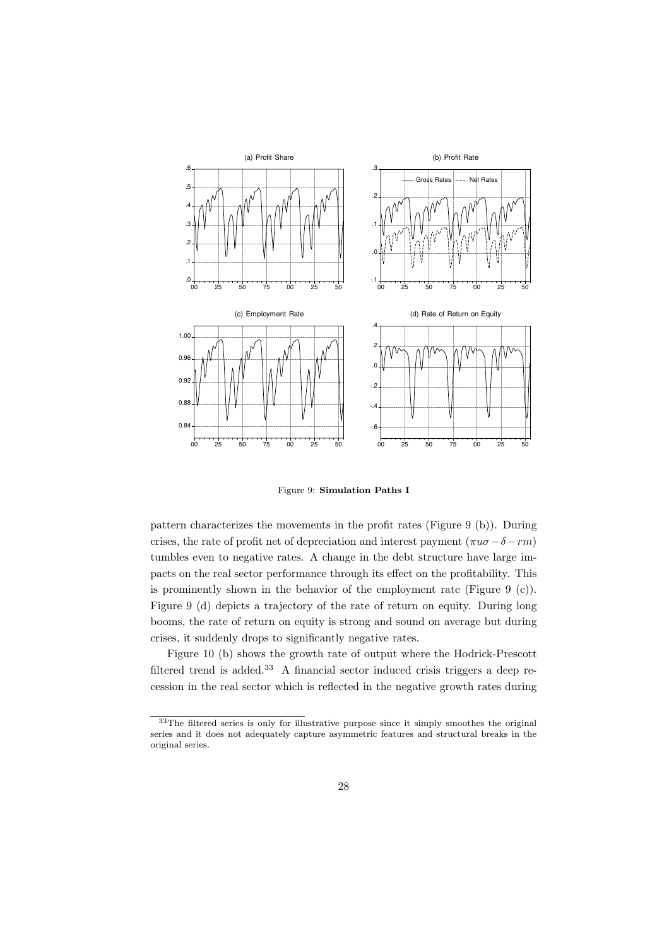

Figure 9: **Simulation Paths I**

pattern characterizes the movements in the profit rates (Figure 9 (b)). During crises, the rate of profit net of depreciation and interest payment  $(\pi u \sigma - \delta - r m)$ tumbles even to negative rates. A change in the debt structure have large impacts on the real sector performance through its effect on the profitability. This is prominently shown in the behavior of the employment rate (Figure 9 (c)). Figure 9 (d) depicts a trajectory of the rate of return on equity. During long booms, the rate of return on equity is strong and sound on average but during crises, it suddenly drops to significantly negative rates.

Figure 10 (b) shows the growth rate of output where the Hodrick-Prescott filtered trend is added.<sup>33</sup> A financial sector induced crisis triggers a deep recession in the real sector which is reflected in the negative growth rates during

<sup>&</sup>lt;sup>33</sup>The filtered series is only for illustrative purpose since it simply smoothes the original series and it does not adequately capture asymmetric features and structural breaks in the original series.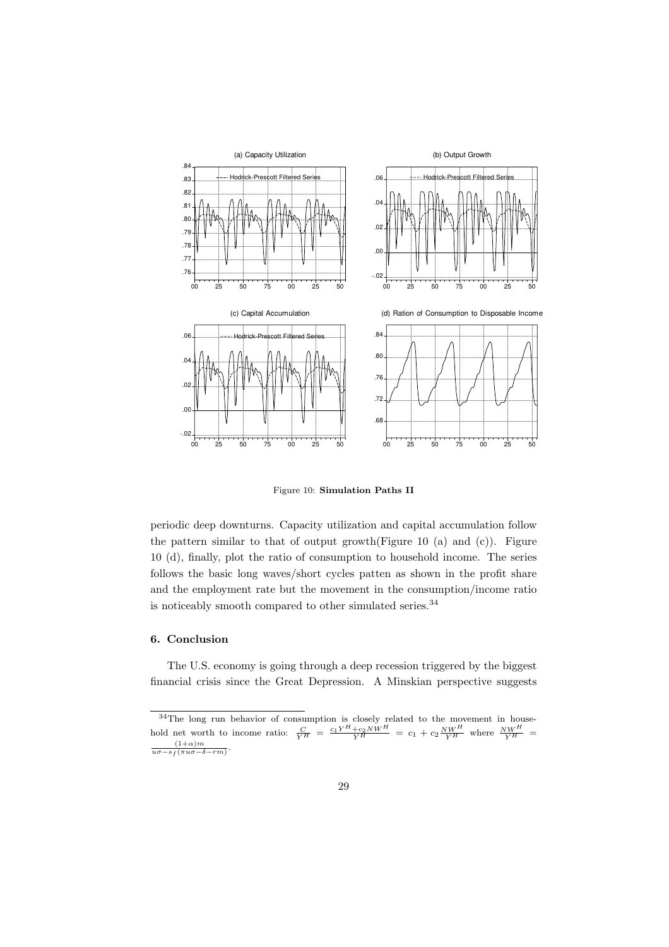

Figure 10: **Simulation Paths II**

periodic deep downturns. Capacity utilization and capital accumulation follow the pattern similar to that of output growth(Figure 10 (a) and  $(c)$ ). Figure 10 (d), finally, plot the ratio of consumption to household income. The series follows the basic long waves/short cycles patten as shown in the profit share and the employment rate but the movement in the consumption/income ratio is noticeably smooth compared to other simulated series.  $^{34}$ 

#### **6. Conclusion**

The U.S. economy is going through a deep recession triggered by the biggest financial crisis since the Great Depression. A Minskian perspective suggests

 $34$ The long run behavior of consumption is closely related to the movement in household net worth to income ratio:  $\frac{C}{Y^H} = \frac{c_1 Y^H + c_2 N W^H}{Y^H} = c_1 + c_2 \frac{N W^H}{Y^H}$  where  $\frac{N W^H}{Y^H} =$  $\frac{(1+\alpha)m}{u\sigma - s_f(\pi u\sigma - \delta - rm)}.$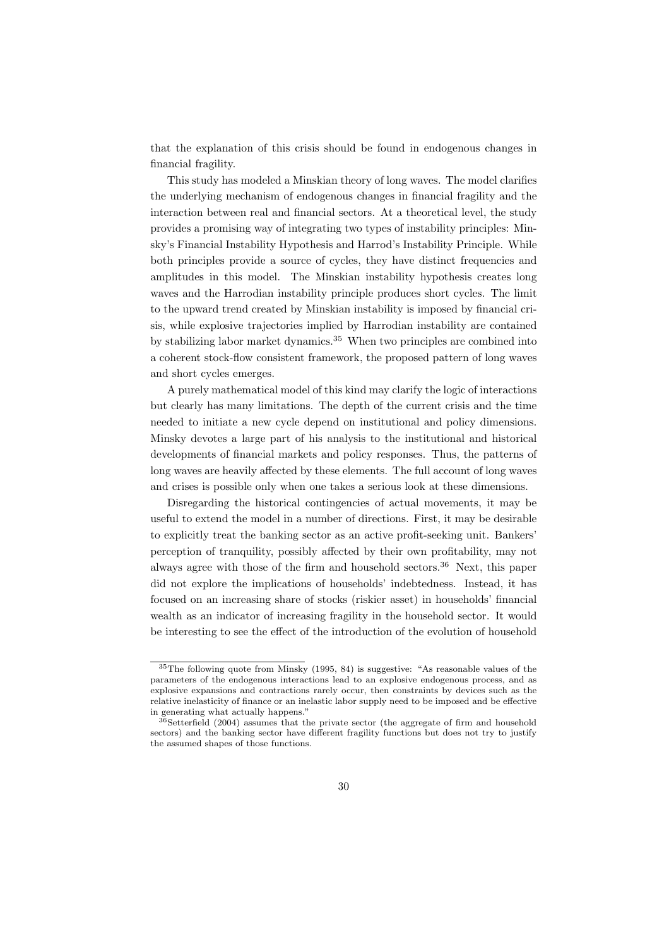that the explanation of this crisis should be found in endogenous changes in financial fragility.

This study has modeled a Minskian theory of long waves. The model clarifies the underlying mechanism of endogenous changes in financial fragility and the interaction between real and financial sectors. At a theoretical level, the study provides a promising way of integrating two types of instability principles: Minsky's Financial Instability Hypothesis and Harrod's Instability Principle. While both principles provide a source of cycles, they have distinct frequencies and amplitudes in this model. The Minskian instability hypothesis creates long waves and the Harrodian instability principle produces short cycles. The limit to the upward trend created by Minskian instability is imposed by financial crisis, while explosive trajectories implied by Harrodian instability are contained by stabilizing labor market dynamics.<sup>35</sup> When two principles are combined into a coherent stock-flow consistent framework, the proposed pattern of long waves and short cycles emerges.

A purely mathematical model of this kind may clarify the logic of interactions but clearly has many limitations. The depth of the current crisis and the time needed to initiate a new cycle depend on institutional and policy dimensions. Minsky devotes a large part of his analysis to the institutional and historical developments of financial markets and policy responses. Thus, the patterns of long waves are heavily affected by these elements. The full account of long waves and crises is possible only when one takes a serious look at these dimensions.

Disregarding the historical contingencies of actual movements, it may be useful to extend the model in a number of directions. First, it may be desirable to explicitly treat the banking sector as an active profit-seeking unit. Bankers' perception of tranquility, possibly affected by their own profitability, may not always agree with those of the firm and household sectors.<sup>36</sup> Next, this paper did not explore the implications of households' indebtedness. Instead, it has focused on an increasing share of stocks (riskier asset) in households' financial wealth as an indicator of increasing fragility in the household sector. It would be interesting to see the effect of the introduction of the evolution of household

<sup>35</sup>The following quote from Minsky (1995, 84) is suggestive: "As reasonable values of the parameters of the endogenous interactions lead to an explosive endogenous process, and as explosive expansions and contractions rarely occur, then constraints by devices such as the relative inelasticity of finance or an inelastic labor supply need to be imposed and be effective in generating what actually happens."

 $36$ Setterfield (2004) assumes that the private sector (the aggregate of firm and household sectors) and the banking sector have different fragility functions but does not try to justify the assumed shapes of those functions.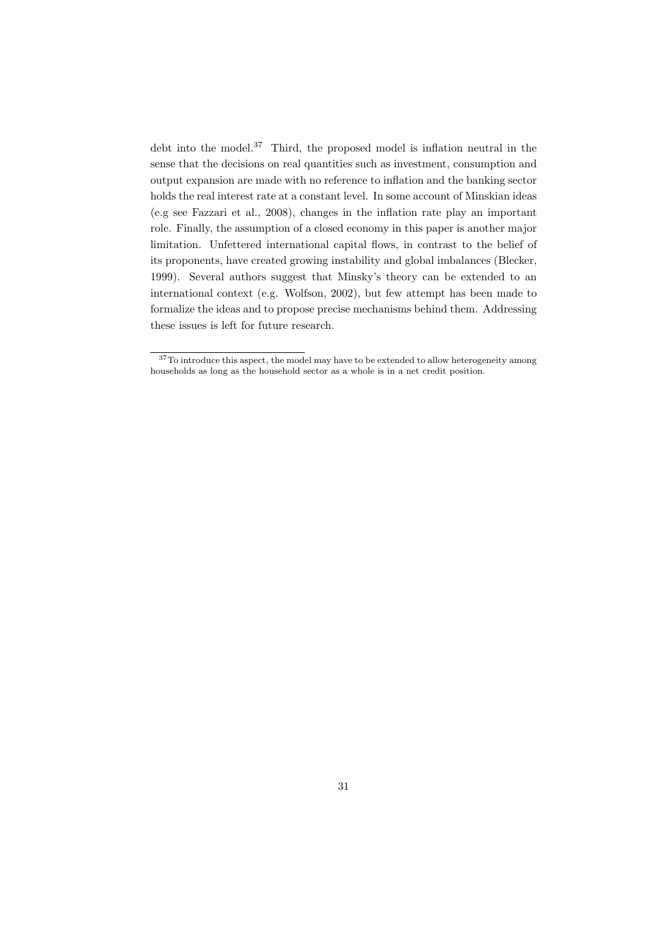debt into the model.<sup>37</sup> Third, the proposed model is inflation neutral in the sense that the decisions on real quantities such as investment, consumption and output expansion are made with no reference to inflation and the banking sector holds the real interest rate at a constant level. In some account of Minskian ideas (e.g see Fazzari et al., 2008), changes in the inflation rate play an important role. Finally, the assumption of a closed economy in this paper is another major limitation. Unfettered international capital flows, in contrast to the belief of its proponents, have created growing instability and global imbalances (Blecker, 1999). Several authors suggest that Minsky's theory can be extended to an international context (e.g. Wolfson, 2002), but few attempt has been made to formalize the ideas and to propose precise mechanisms behind them. Addressing these issues is left for future research.

<sup>&</sup>lt;sup>37</sup>To introduce this aspect, the model may have to be extended to allow heterogeneity among households as long as the household sector as a whole is in a net credit position.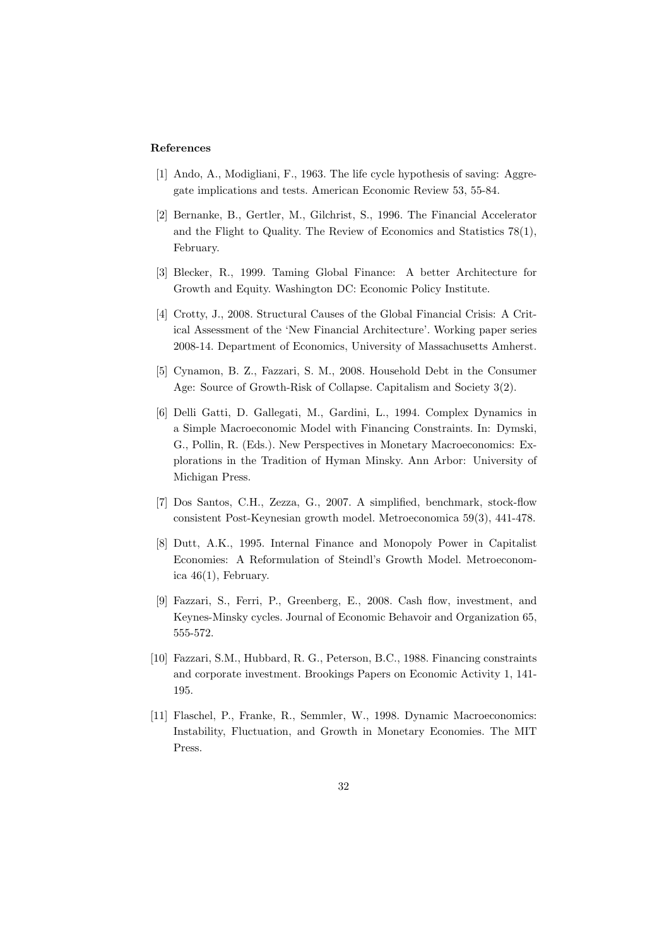#### **References**

- [1] Ando, A., Modigliani, F., 1963. The life cycle hypothesis of saving: Aggregate implications and tests. American Economic Review 53, 55-84.
- [2] Bernanke, B., Gertler, M., Gilchrist, S., 1996. The Financial Accelerator and the Flight to Quality. The Review of Economics and Statistics 78(1), February.
- [3] Blecker, R., 1999. Taming Global Finance: A better Architecture for Growth and Equity. Washington DC: Economic Policy Institute.
- [4] Crotty, J., 2008. Structural Causes of the Global Financial Crisis: A Critical Assessment of the 'New Financial Architecture'. Working paper series 2008-14. Department of Economics, University of Massachusetts Amherst.
- [5] Cynamon, B. Z., Fazzari, S. M., 2008. Household Debt in the Consumer Age: Source of Growth-Risk of Collapse. Capitalism and Society 3(2).
- [6] Delli Gatti, D. Gallegati, M., Gardini, L., 1994. Complex Dynamics in a Simple Macroeconomic Model with Financing Constraints. In: Dymski, G., Pollin, R. (Eds.). New Perspectives in Monetary Macroeconomics: Explorations in the Tradition of Hyman Minsky. Ann Arbor: University of Michigan Press.
- [7] Dos Santos, C.H., Zezza, G., 2007. A simplified, benchmark, stock-flow consistent Post-Keynesian growth model. Metroeconomica 59(3), 441-478.
- [8] Dutt, A.K., 1995. Internal Finance and Monopoly Power in Capitalist Economies: A Reformulation of Steindl's Growth Model. Metroeconomica 46(1), February.
- [9] Fazzari, S., Ferri, P., Greenberg, E., 2008. Cash flow, investment, and Keynes-Minsky cycles. Journal of Economic Behavoir and Organization 65, 555-572.
- [10] Fazzari, S.M., Hubbard, R. G., Peterson, B.C., 1988. Financing constraints and corporate investment. Brookings Papers on Economic Activity 1, 141- 195.
- [11] Flaschel, P., Franke, R., Semmler, W., 1998. Dynamic Macroeconomics: Instability, Fluctuation, and Growth in Monetary Economies. The MIT Press.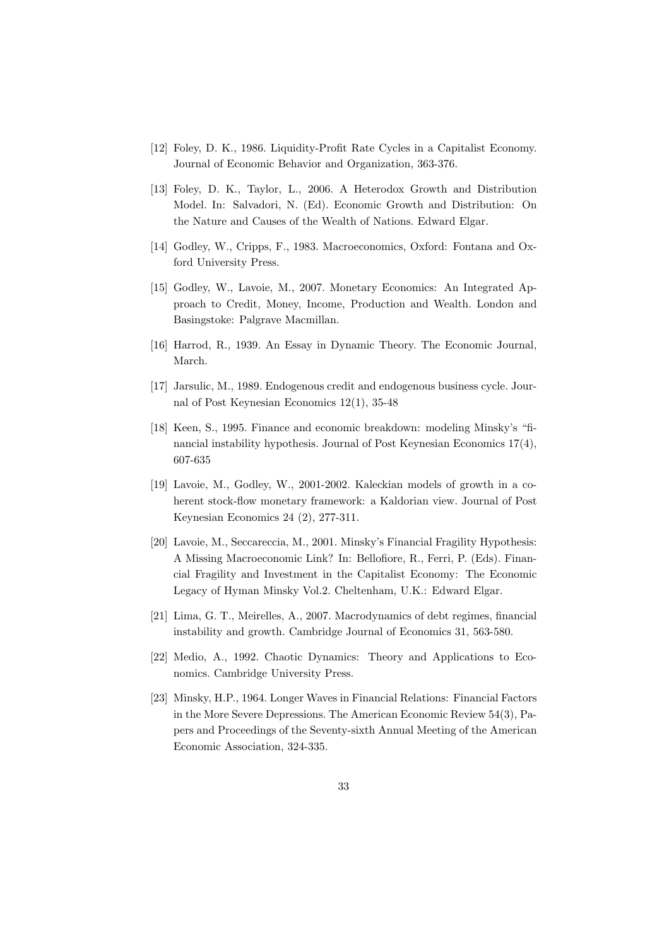- [12] Foley, D. K., 1986. Liquidity-Profit Rate Cycles in a Capitalist Economy. Journal of Economic Behavior and Organization, 363-376.
- [13] Foley, D. K., Taylor, L., 2006. A Heterodox Growth and Distribution Model. In: Salvadori, N. (Ed). Economic Growth and Distribution: On the Nature and Causes of the Wealth of Nations. Edward Elgar.
- [14] Godley, W., Cripps, F., 1983. Macroeconomics, Oxford: Fontana and Oxford University Press.
- [15] Godley, W., Lavoie, M., 2007. Monetary Economics: An Integrated Approach to Credit, Money, Income, Production and Wealth. London and Basingstoke: Palgrave Macmillan.
- [16] Harrod, R., 1939. An Essay in Dynamic Theory. The Economic Journal, March.
- [17] Jarsulic, M., 1989. Endogenous credit and endogenous business cycle. Journal of Post Keynesian Economics 12(1), 35-48
- [18] Keen, S., 1995. Finance and economic breakdown: modeling Minsky's "financial instability hypothesis. Journal of Post Keynesian Economics 17(4), 607-635
- [19] Lavoie, M., Godley, W., 2001-2002. Kaleckian models of growth in a coherent stock-flow monetary framework: a Kaldorian view. Journal of Post Keynesian Economics 24 (2), 277-311.
- [20] Lavoie, M., Seccareccia, M., 2001. Minsky's Financial Fragility Hypothesis: A Missing Macroeconomic Link? In: Bellofiore, R., Ferri, P. (Eds). Financial Fragility and Investment in the Capitalist Economy: The Economic Legacy of Hyman Minsky Vol.2. Cheltenham, U.K.: Edward Elgar.
- [21] Lima, G. T., Meirelles, A., 2007. Macrodynamics of debt regimes, financial instability and growth. Cambridge Journal of Economics 31, 563-580.
- [22] Medio, A., 1992. Chaotic Dynamics: Theory and Applications to Economics. Cambridge University Press.
- [23] Minsky, H.P., 1964. Longer Waves in Financial Relations: Financial Factors in the More Severe Depressions. The American Economic Review 54(3), Papers and Proceedings of the Seventy-sixth Annual Meeting of the American Economic Association, 324-335.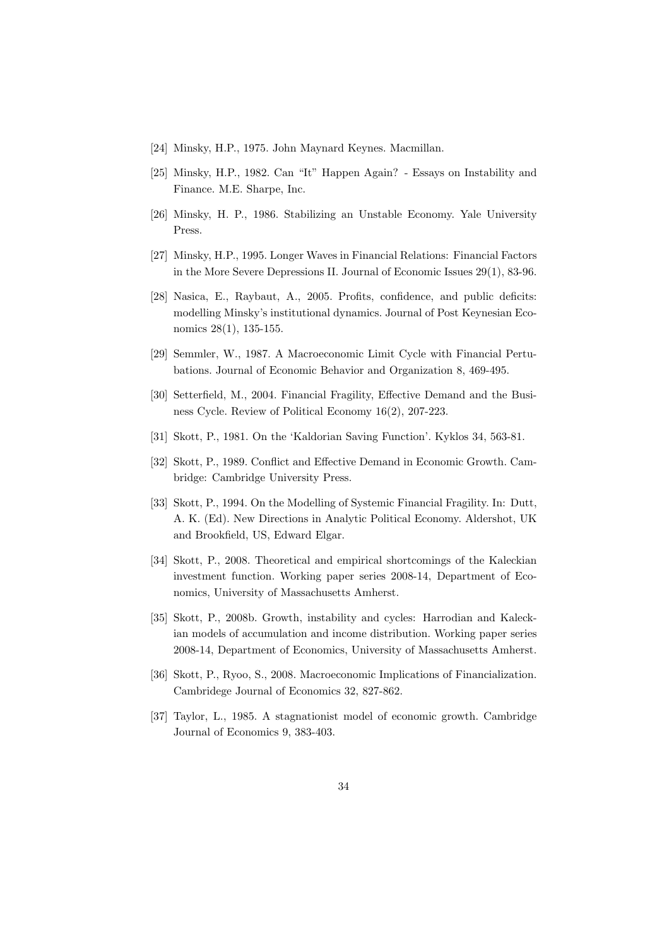- [24] Minsky, H.P., 1975. John Maynard Keynes. Macmillan.
- [25] Minsky, H.P., 1982. Can "It" Happen Again? Essays on Instability and Finance. M.E. Sharpe, Inc.
- [26] Minsky, H. P., 1986. Stabilizing an Unstable Economy. Yale University Press.
- [27] Minsky, H.P., 1995. Longer Waves in Financial Relations: Financial Factors in the More Severe Depressions II. Journal of Economic Issues 29(1), 83-96.
- [28] Nasica, E., Raybaut, A., 2005. Profits, confidence, and public deficits: modelling Minsky's institutional dynamics. Journal of Post Keynesian Economics 28(1), 135-155.
- [29] Semmler, W., 1987. A Macroeconomic Limit Cycle with Financial Pertubations. Journal of Economic Behavior and Organization 8, 469-495.
- [30] Setterfield, M., 2004. Financial Fragility, Effective Demand and the Business Cycle. Review of Political Economy 16(2), 207-223.
- [31] Skott, P., 1981. On the 'Kaldorian Saving Function'. Kyklos 34, 563-81.
- [32] Skott, P., 1989. Conflict and Effective Demand in Economic Growth. Cambridge: Cambridge University Press.
- [33] Skott, P., 1994. On the Modelling of Systemic Financial Fragility. In: Dutt, A. K. (Ed). New Directions in Analytic Political Economy. Aldershot, UK and Brookfield, US, Edward Elgar.
- [34] Skott, P., 2008. Theoretical and empirical shortcomings of the Kaleckian investment function. Working paper series 2008-14, Department of Economics, University of Massachusetts Amherst.
- [35] Skott, P., 2008b. Growth, instability and cycles: Harrodian and Kaleckian models of accumulation and income distribution. Working paper series 2008-14, Department of Economics, University of Massachusetts Amherst.
- [36] Skott, P., Ryoo, S., 2008. Macroeconomic Implications of Financialization. Cambridege Journal of Economics 32, 827-862.
- [37] Taylor, L., 1985. A stagnationist model of economic growth. Cambridge Journal of Economics 9, 383-403.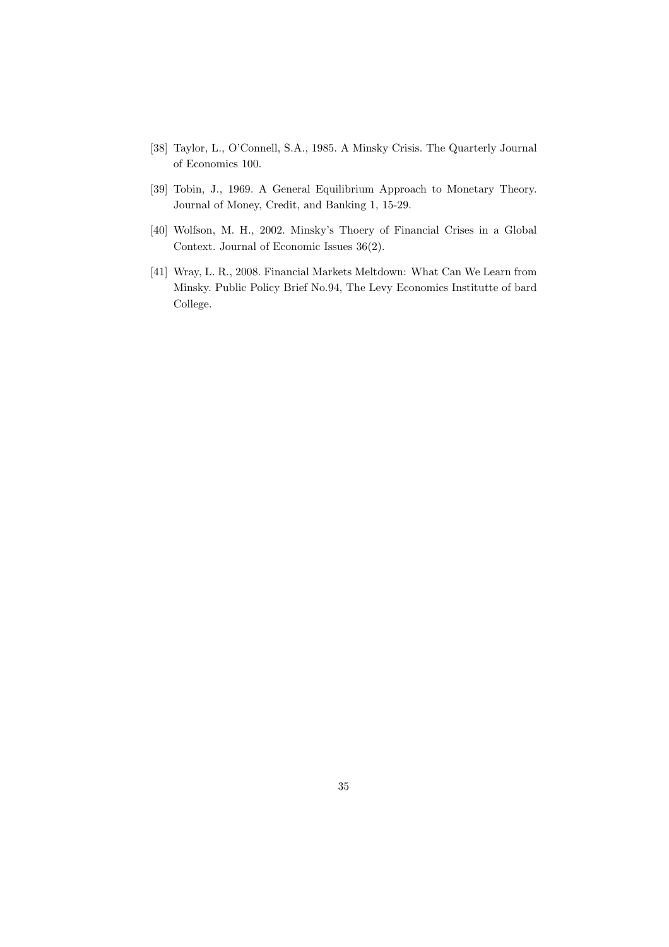- [38] Taylor, L., O'Connell, S.A., 1985. A Minsky Crisis. The Quarterly Journal of Economics 100.
- [39] Tobin, J., 1969. A General Equilibrium Approach to Monetary Theory. Journal of Money, Credit, and Banking 1, 15-29.
- [40] Wolfson, M. H., 2002. Minsky's Thoery of Financial Crises in a Global Context. Journal of Economic Issues 36(2).
- [41] Wray, L. R., 2008. Financial Markets Meltdown: What Can We Learn from Minsky. Public Policy Brief No.94, The Levy Economics Institutte of bard College.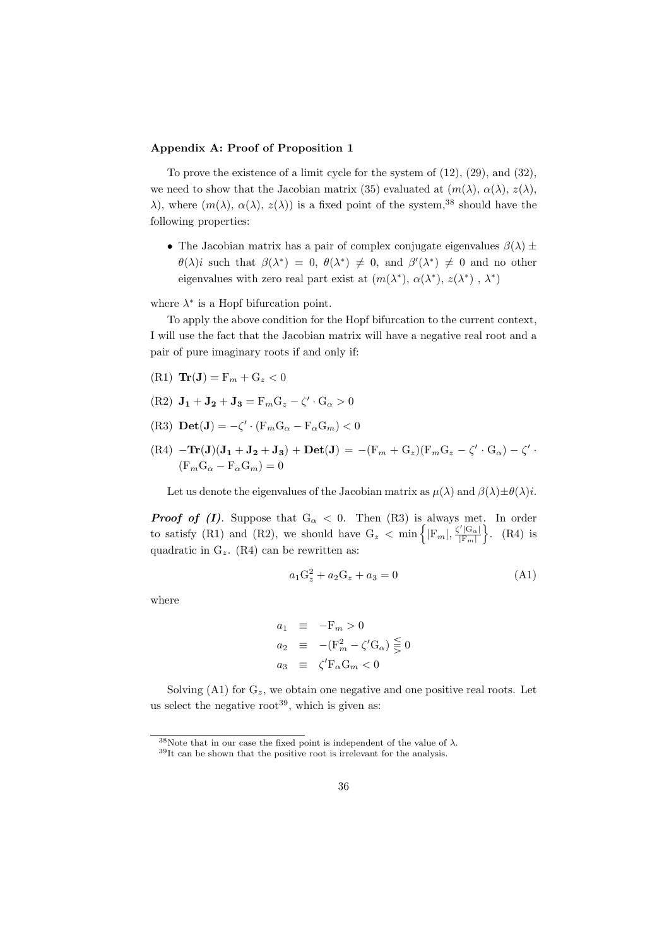#### **Appendix A: Proof of Proposition 1**

To prove the existence of a limit cycle for the system of (12), (29), and (32), we need to show that the Jacobian matrix (35) evaluated at  $(m(\lambda), \alpha(\lambda), z(\lambda))$ , *λ*), where  $(m(λ), \alpha(λ), z(λ))$  is a fixed point of the system,<sup>38</sup> should have the following properties:

• The Jacobian matrix has a pair of complex conjugate eigenvalues  $\beta(\lambda) \pm$  $\theta(\lambda)i$  such that  $\beta(\lambda^*) = 0$ ,  $\theta(\lambda^*) \neq 0$ , and  $\beta'(\lambda^*) \neq 0$  and no other eigenvalues with zero real part exist at  $(m(\lambda^*), \alpha(\lambda^*), z(\lambda^*), \lambda^*)$ 

where  $\lambda^*$  is a Hopf bifurcation point.

To apply the above condition for the Hopf bifurcation to the current context, I will use the fact that the Jacobian matrix will have a negative real root and a pair of pure imaginary roots if and only if:

- $(\text{R1})$   $\text{Tr}(\textbf{J}) = \text{F}_m + \text{G}_z < 0$
- $(R2)$   $J_1 + J_2 + J_3 = F_m G_z \zeta' \cdot G_\alpha > 0$
- $(\text{R3}) \text{ Det}(\mathbf{J}) = -\zeta' \cdot (\text{F}_m \text{G}_\alpha \text{F}_\alpha \text{G}_m) < 0$
- ${\rm (R4)}\; -{\rm Tr}({\bf J})({\bf J_1}+{\bf J_2}+{\bf J_3})+{\rm Det}({\bf J})\,=\,-({\rm F}_m+{\rm G}_z)({\rm F}_m{\rm G}_z-\zeta'\cdot{\rm G}_\alpha)-\zeta'\cdot$  $(F_m G_\alpha - F_\alpha G_m) = 0$

Let us denote the eigenvalues of the Jacobian matrix as  $\mu(\lambda)$  and  $\beta(\lambda) \pm \theta(\lambda)i$ .

*Proof of (I).* Suppose that  $G_{\alpha} < 0$ *.* Then (R3) is always met. In order to satisfy (R1) and (R2), we should have  $G_z < \min \{ |F_m|, \frac{\zeta' |G_{\alpha}|}{|F_m|} \}$ *|*F*m|* } . (R4) is quadratic in G*z*. (R4) can be rewritten as:

$$
a_1 G_z^2 + a_2 G_z + a_3 = 0 \tag{A1}
$$

where

$$
a_1 \equiv -F_m > 0
$$
  
\n
$$
a_2 \equiv - (F_m^2 - \zeta' G_\alpha) \leq 0
$$
  
\n
$$
a_3 \equiv \zeta' F_\alpha G_m < 0
$$

Solving (A1) for  $G_z$ , we obtain one negative and one positive real roots. Let us select the negative root<sup>39</sup>, which is given as:

<sup>&</sup>lt;sup>38</sup>Note that in our case the fixed point is independent of the value of  $\lambda$ .  $39$ It can be shown that the positive root is irrelevant for the analysis.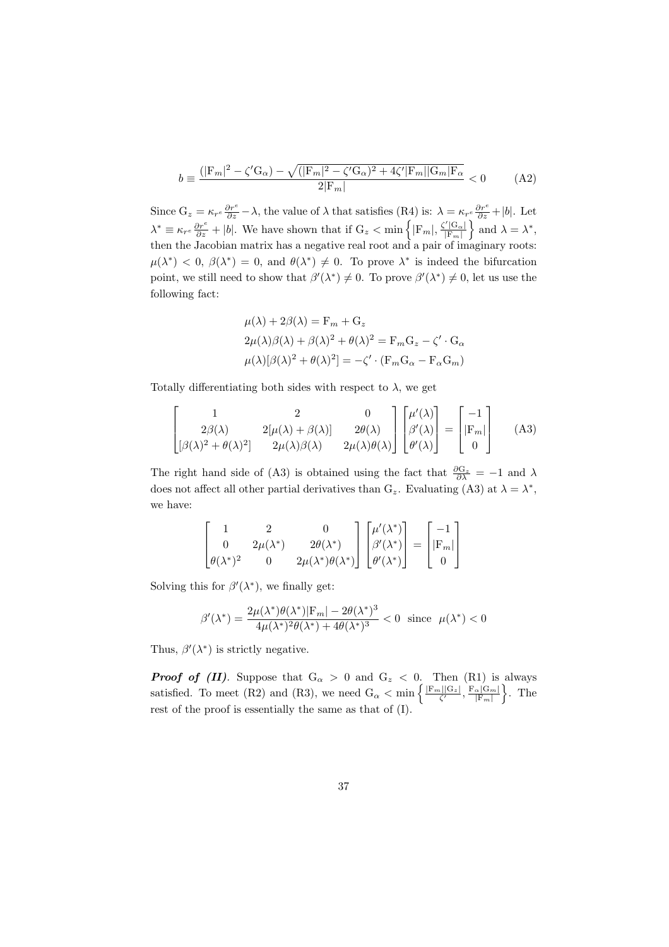$$
b \equiv \frac{(|\mathcal{F}_m|^2 - \zeta'\mathcal{G}_\alpha) - \sqrt{(|\mathcal{F}_m|^2 - \zeta'\mathcal{G}_\alpha)^2 + 4\zeta'|\mathcal{F}_m||\mathcal{G}_m|\mathcal{F}_\alpha}}{2|\mathcal{F}_m|} < 0
$$
 (A2)

Since  $G_z = \kappa_{r^e} \frac{\partial r^e}{\partial z} - \lambda$ , the value of  $\lambda$  that satisfies (R4) is:  $\lambda = \kappa_{r^e} \frac{\partial r^e}{\partial z} + |b|$ . Let  $\lambda^* \equiv \kappa_{r^e} \frac{\partial r^e}{\partial z} + |b|$ . We have shown that if  $G_z < \min\left\{ |F_m|, \frac{\zeta' |G_{\alpha}|}{|F_m|} \right\}$ *|*F*m|*  $\left\{\n \begin{array}{l}\n \text{and } \lambda = \lambda^*,\n \end{array}\n\right.$ then the Jacobian matrix has a negative real root and a pair of imaginary roots:  $\mu(\lambda^*) < 0$ ,  $\beta(\lambda^*) = 0$ , and  $\theta(\lambda^*) \neq 0$ . To prove  $\lambda^*$  is indeed the bifurcation point, we still need to show that  $\beta'(\lambda^*) \neq 0$ . To prove  $\beta'(\lambda^*) \neq 0$ , let us use the following fact:

$$
\mu(\lambda) + 2\beta(\lambda) = F_m + G_z
$$
  
\n
$$
2\mu(\lambda)\beta(\lambda) + \beta(\lambda)^2 + \theta(\lambda)^2 = F_m G_z - \zeta' \cdot G_\alpha
$$
  
\n
$$
\mu(\lambda)[\beta(\lambda)^2 + \theta(\lambda)^2] = -\zeta' \cdot (F_m G_\alpha - F_\alpha G_m)
$$

Totally differentiating both sides with respect to  $\lambda$ , we get

$$
\begin{bmatrix} 1 & 2 & 0 \ 2\beta(\lambda) & 2[\mu(\lambda) + \beta(\lambda)] & 2\theta(\lambda) \ \beta(\lambda)^2 + \theta(\lambda)^2 & 2\mu(\lambda)\beta(\lambda) & 2\mu(\lambda)\theta(\lambda) \end{bmatrix} \begin{bmatrix} \mu'(\lambda) \\ \beta'(\lambda) \\ \theta'(\lambda) \end{bmatrix} = \begin{bmatrix} -1 \\ |F_m| \\ 0 \end{bmatrix}
$$
 (A3)

The right hand side of (A3) is obtained using the fact that  $\frac{\partial G_z}{\partial \lambda} = -1$  and  $\lambda$ does not affect all other partial derivatives than  $G_z$ . Evaluating (A3) at  $\lambda = \lambda^*$ , we have:

$$
\begin{bmatrix} 1 & 2 & 0 \ 0 & 2\mu(\lambda^*) & 2\theta(\lambda^*) \\ \theta(\lambda^*)^2 & 0 & 2\mu(\lambda^*)\theta(\lambda^*) \end{bmatrix} \begin{bmatrix} \mu'(\lambda^*) \\ \beta'(\lambda^*) \\ \theta'(\lambda^*) \end{bmatrix} = \begin{bmatrix} -1 \\ |F_m| \\ 0 \end{bmatrix}
$$

Solving this for  $\beta'(\lambda^*)$ , we finally get:

$$
\beta'(\lambda^*) = \frac{2\mu(\lambda^*)\theta(\lambda^*)|\mathcal{F}_m| - 2\theta(\lambda^*)^3}{4\mu(\lambda^*)^2\theta(\lambda^*) + 4\theta(\lambda^*)^3} < 0 \quad \text{since} \quad \mu(\lambda^*) < 0
$$

Thus,  $\beta'(\lambda^*)$  is strictly negative.

*Proof of (II).* Suppose that  $G_{\alpha} > 0$  and  $G_{z} < 0$ . Then (R1) is always satisfied. To meet (R2) and (R3), we need  $G_{\alpha} < \min \left\{ \frac{|F_m||G_z|}{\zeta'} , \frac{F_{\alpha}(G_m)}{|F_m|} \right\}$ *|*F*m|* } . The rest of the proof is essentially the same as that of (I).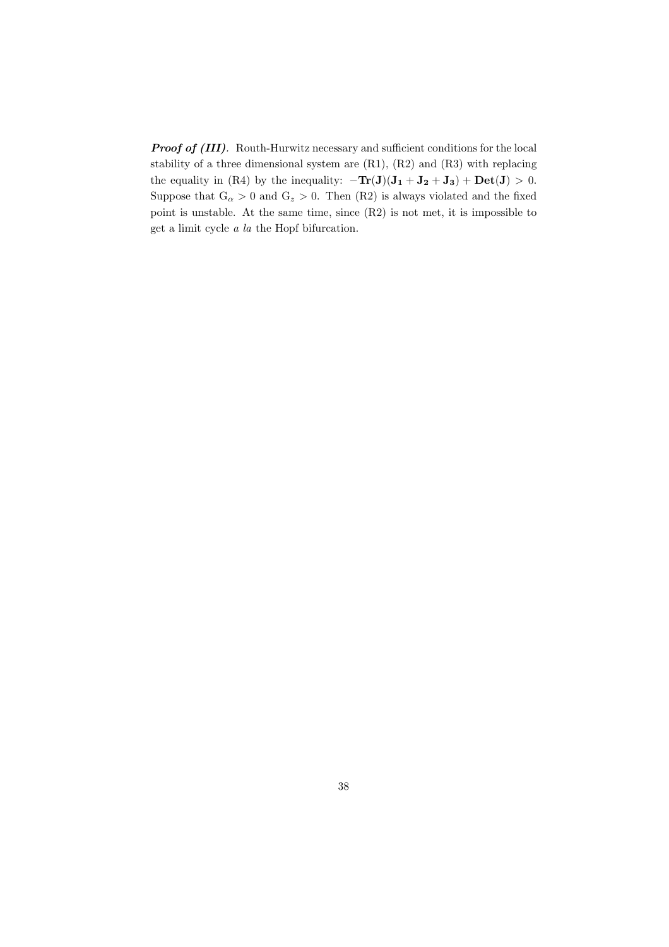*Proof of (III).* Routh-Hurwitz necessary and sufficient conditions for the local stability of a three dimensional system are (R1), (R2) and (R3) with replacing the equality in (R4) by the inequality:  $-\mathbf{Tr}(\mathbf{J})(\mathbf{J}_1 + \mathbf{J}_2 + \mathbf{J}_3) + \mathbf{Det}(\mathbf{J}) > 0.$ Suppose that  $G_{\alpha} > 0$  and  $G_{z} > 0$ . Then (R2) is always violated and the fixed point is unstable. At the same time, since (R2) is not met, it is impossible to get a limit cycle *a la* the Hopf bifurcation.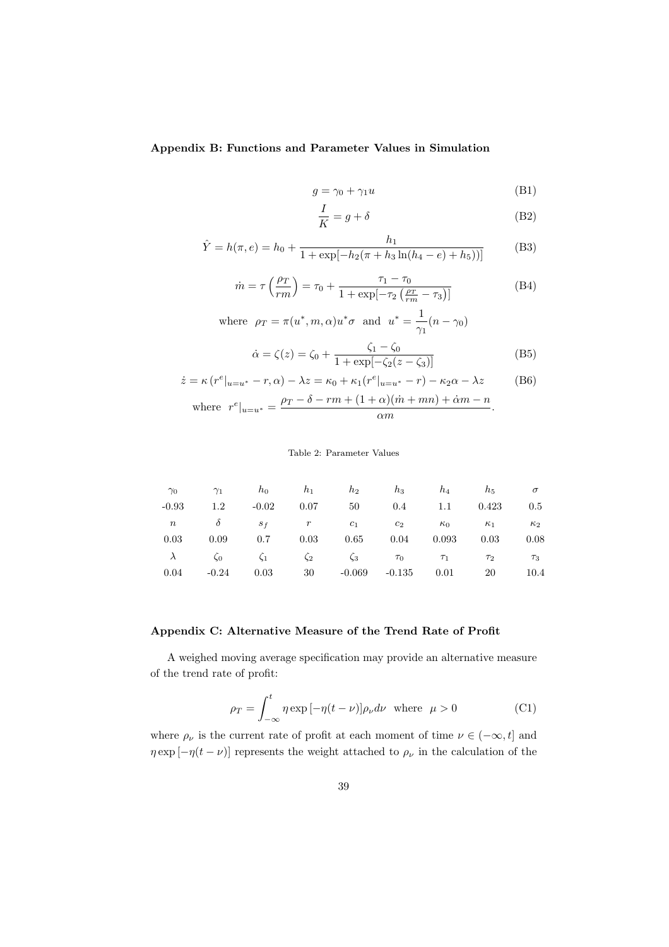#### **Appendix B: Functions and Parameter Values in Simulation**

$$
g = \gamma_0 + \gamma_1 u \tag{B1}
$$

$$
\frac{I}{K} = g + \delta \tag{B2}
$$

$$
\hat{Y} = h(\pi, e) = h_0 + \frac{h_1}{1 + \exp[-h_2(\pi + h_3 \ln(h_4 - e) + h_5))]}
$$
(B3)

$$
\dot{m} = \tau \left(\frac{\rho_T}{rm}\right) = \tau_0 + \frac{\tau_1 - \tau_0}{1 + \exp[-\tau_2 \left(\frac{\rho_T}{rm} - \tau_3\right)]}
$$
(B4)

where 
$$
\rho_T = \pi(u^*, m, \alpha)u^*\sigma
$$
 and  $u^* = \frac{1}{\gamma_1}(n - \gamma_0)$ 

$$
\dot{\alpha} = \zeta(z) = \zeta_0 + \frac{\zeta_1 - \zeta_0}{1 + \exp[-\zeta_2(z - \zeta_3)]}
$$
(B5)

$$
\dot{z} = \kappa (r^e|_{u=u^*} - r, \alpha) - \lambda z = \kappa_0 + \kappa_1 (r^e|_{u=u^*} - r) - \kappa_2 \alpha - \lambda z \tag{B6}
$$

where 
$$
r^e|_{u=u^*} = \frac{\rho_T - \delta - rm + (1 + \alpha)(\dot{m} + mn) + \dot{\alpha}m - n}{\alpha m}
$$
.

#### Table 2: Parameter Values

| $\gamma_0$       | $\gamma_1$ | $h_0$     | $h_1$     | $h_2$     | $h_3$    | $h_4$      | $h_{5}$    | $\sigma$   |
|------------------|------------|-----------|-----------|-----------|----------|------------|------------|------------|
| $-0.93$          | $1.2\,$    | $-0.02$   | 0.07      | 50        | $0.4\,$  | 1.1        | 0.423      | $0.5\,$    |
| $\boldsymbol{n}$ | $\delta$   | $S_f$     | $r_{\rm}$ | $c_1$     | $c_2$    | $\kappa_0$ | $\kappa_1$ | $\kappa_2$ |
| 0.03             | 0.09       | 0.7       | 0.03      | 0.65      | 0.04     | 0.093      | 0.03       | 0.08       |
| $\lambda$        | $\zeta_0$  | $\zeta_1$ | $\zeta_2$ | $\zeta_3$ | $\tau_0$ | $\tau_1$   | $\tau_2$   | $\tau_3$   |
| 0.04             | $-0.24$    | 0.03      | 30        | $-0.069$  | $-0.135$ | 0.01       | 20         | 10.4       |

#### **Appendix C: Alternative Measure of the Trend Rate of Profit**

A weighed moving average specification may provide an alternative measure of the trend rate of profit:

$$
\rho_T = \int_{-\infty}^t \eta \exp[-\eta(t-\nu)] \rho_\nu d\nu \text{ where } \mu > 0
$$
 (C1)

where  $\rho_{\nu}$  is the current rate of profit at each moment of time  $\nu \in (-\infty, t]$  and *η* exp [*−η*(*t −<i>ν*)] represents the weight attached to  $\rho$ <sup>*ν*</sup> in the calculation of the